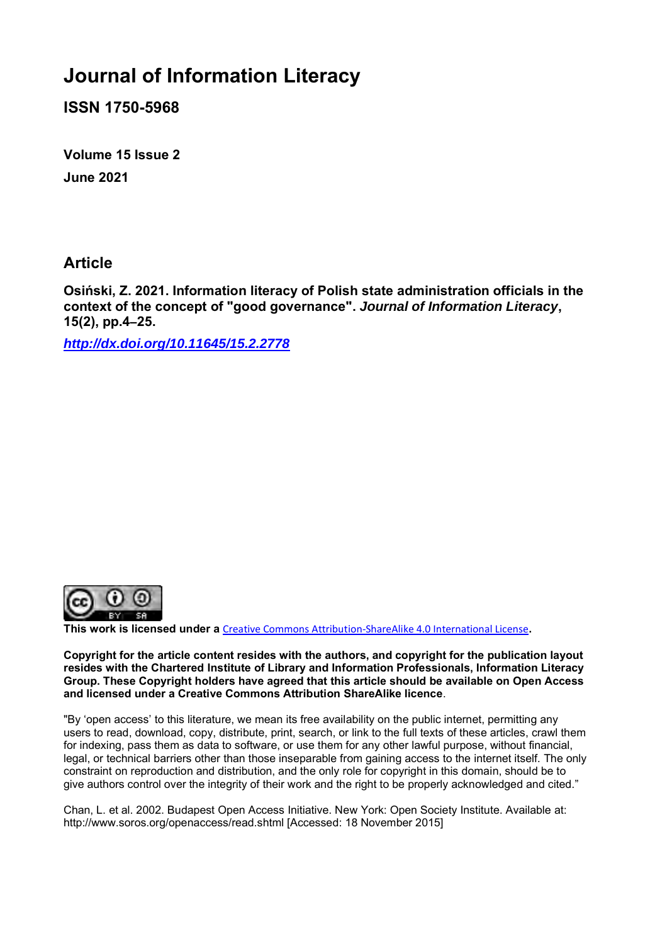# **Journal of Information Literacy**

**ISSN 1750-5968**

**Volume 15 Issue 2 June 2021**

### **Article**

**Osiński, Z. 2021. Information literacy of Polish state administration officials in the context of the concept of "good governance".** *Journal of Information Literacy***, 15(2), pp.4–25.**

*<http://dx.doi.org/10.11645/15.2.2778>*



**This work is licensed under a** [Creative Commons Attribution-ShareAlike 4.0 International License](http://creativecommons.org/licenses/by-sa/4.0/)**.**

**Copyright for the article content resides with the authors, and copyright for the publication layout resides with the Chartered Institute of Library and Information Professionals, Information Literacy Group. These Copyright holders have agreed that this article should be available on Open Access and licensed under a Creative Commons Attribution ShareAlike licence**.

"By 'open access' to this literature, we mean its free availability on the public internet, permitting any users to read, download, copy, distribute, print, search, or link to the full texts of these articles, crawl them for indexing, pass them as data to software, or use them for any other lawful purpose, without financial, legal, or technical barriers other than those inseparable from gaining access to the internet itself. The only constraint on reproduction and distribution, and the only role for copyright in this domain, should be to give authors control over the integrity of their work and the right to be properly acknowledged and cited."

Chan, L. et al. 2002. Budapest Open Access Initiative. New York: Open Society Institute. Available at: http://www.soros.org/openaccess/read.shtml [Accessed: 18 November 2015]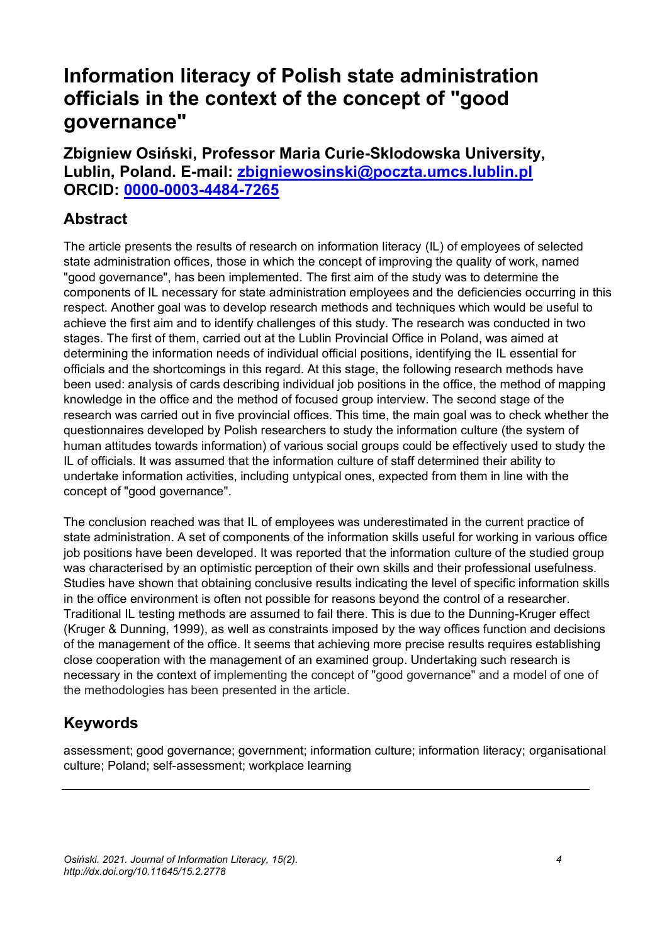# **Information literacy of Polish state administration officials in the context of the concept of "good governance"**

**Zbigniew Osiński, Professor Maria Curie-Sklodowska University, Lublin, Poland. E-mail: [zbigniewosinski@poczta.umcs.lublin.pl](mailto:zbigniewosinski@poczta.umcs.lublin.pl) ORCID: [0000-0003-4484-7265](https://orcid.org/0000-0003-4484-7265)**

## **Abstract**

The article presents the results of research on information literacy (IL) of employees of selected state administration offices, those in which the concept of improving the quality of work, named "good governance", has been implemented. The first aim of the study was to determine the components of IL necessary for state administration employees and the deficiencies occurring in this respect. Another goal was to develop research methods and techniques which would be useful to achieve the first aim and to identify challenges of this study. The research was conducted in two stages. The first of them, carried out at the Lublin Provincial Office in Poland, was aimed at determining the information needs of individual official positions, identifying the IL essential for officials and the shortcomings in this regard. At this stage, the following research methods have been used: analysis of cards describing individual job positions in the office, the method of mapping knowledge in the office and the method of focused group interview. The second stage of the research was carried out in five provincial offices. This time, the main goal was to check whether the questionnaires developed by Polish researchers to study the information culture (the system of human attitudes towards information) of various social groups could be effectively used to study the IL of officials. It was assumed that the information culture of staff determined their ability to undertake information activities, including untypical ones, expected from them in line with the concept of "good governance".

The conclusion reached was that IL of employees was underestimated in the current practice of state administration. A set of components of the information skills useful for working in various office job positions have been developed. It was reported that the information culture of the studied group was characterised by an optimistic perception of their own skills and their professional usefulness. Studies have shown that obtaining conclusive results indicating the level of specific information skills in the office environment is often not possible for reasons beyond the control of a researcher. Traditional IL testing methods are assumed to fail there. This is due to the Dunning-Kruger effect (Kruger & Dunning, 1999), as well as constraints imposed by the way offices function and decisions of the management of the office. It seems that achieving more precise results requires establishing close cooperation with the management of an examined group. Undertaking such research is necessary in the context of implementing the concept of "good governance" and a model of one of the methodologies has been presented in the article.

# **Keywords**

assessment; good governance; government; information culture; information literacy; organisational culture; Poland; self-assessment; workplace learning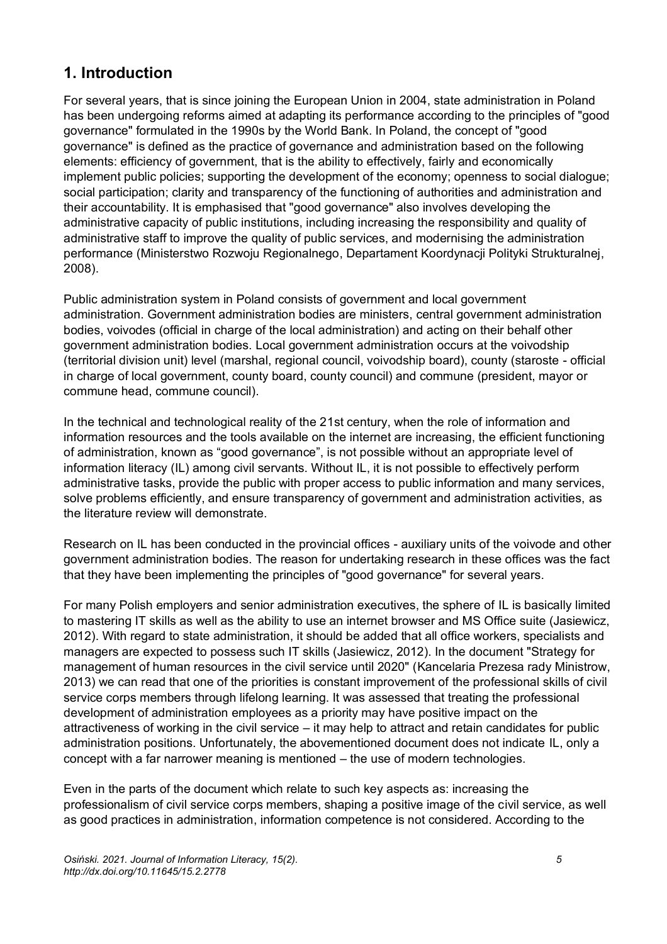## **1. Introduction**

For several years, that is since joining the European Union in 2004, state administration in Poland has been undergoing reforms aimed at adapting its performance according to the principles of "good governance" formulated in the 1990s by the World Bank. In Poland, the concept of "good governance" is defined as the practice of governance and administration based on the following elements: efficiency of government, that is the ability to effectively, fairly and economically implement public policies; supporting the development of the economy; openness to social dialogue; social participation; clarity and transparency of the functioning of authorities and administration and their accountability. It is emphasised that "good governance" also involves developing the administrative capacity of public institutions, including increasing the responsibility and quality of administrative staff to improve the quality of public services, and modernising the administration performance (Ministerstwo Rozwoju Regionalnego, Departament Koordynacji Polityki Strukturalnej, 2008).

Public administration system in Poland consists of government and local government administration. Government administration bodies are ministers, central government administration bodies, voivodes (official in charge of the local administration) and acting on their behalf other government administration bodies. Local government administration occurs at the voivodship (territorial division unit) level (marshal, regional council, voivodship board), county (staroste - official in charge of local government, county board, county council) and commune (president, mayor or commune head, commune council).

In the technical and technological reality of the 21st century, when the role of information and information resources and the tools available on the internet are increasing, the efficient functioning of administration, known as "good governance", is not possible without an appropriate level of information literacy (IL) among civil servants. Without IL, it is not possible to effectively perform administrative tasks, provide the public with proper access to public information and many services, solve problems efficiently, and ensure transparency of government and administration activities, as the literature review will demonstrate.

Research on IL has been conducted in the provincial offices - auxiliary units of the voivode and other government administration bodies. The reason for undertaking research in these offices was the fact that they have been implementing the principles of "good governance" for several years.

For many Polish employers and senior administration executives, the sphere of IL is basically limited to mastering IT skills as well as the ability to use an internet browser and MS Office suite (Jasiewicz, 2012). With regard to state administration, it should be added that all office workers, specialists and managers are expected to possess such IT skills (Jasiewicz, 2012). In the document "Strategy for management of human resources in the civil service until 2020" (Kancelaria Prezesa rady Ministrow, 2013) we can read that one of the priorities is constant improvement of the professional skills of civil service corps members through lifelong learning. It was assessed that treating the professional development of administration employees as a priority may have positive impact on the attractiveness of working in the civil service – it may help to attract and retain candidates for public administration positions. Unfortunately, the abovementioned document does not indicate IL, only a concept with a far narrower meaning is mentioned – the use of modern technologies.

Even in the parts of the document which relate to such key aspects as: increasing the professionalism of civil service corps members, shaping a positive image of the civil service, as well as good practices in administration, information competence is not considered. According to the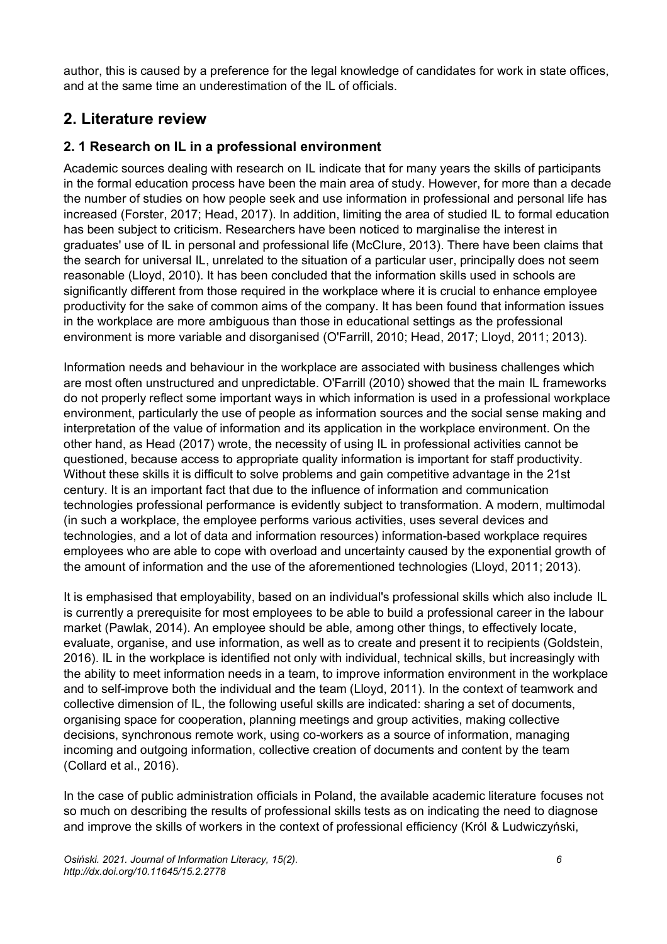author, this is caused by a preference for the legal knowledge of candidates for work in state offices, and at the same time an underestimation of the IL of officials.

## **2. Literature review**

### **2. 1 Research on IL in a professional environment**

Academic sources dealing with research on IL indicate that for many years the skills of participants in the formal education process have been the main area of study. However, for more than a decade the number of studies on how people seek and use information in professional and personal life has increased (Forster, 2017; Head, 2017). In addition, limiting the area of studied IL to formal education has been subject to criticism. Researchers have been noticed to marginalise the interest in graduates' use of IL in personal and professional life (McClure, 2013). There have been claims that the search for universal IL, unrelated to the situation of a particular user, principally does not seem reasonable (Lloyd, 2010). It has been concluded that the information skills used in schools are significantly different from those required in the workplace where it is crucial to enhance employee productivity for the sake of common aims of the company. It has been found that information issues in the workplace are more ambiguous than those in educational settings as the professional environment is more variable and disorganised (O'Farrill, 2010; Head, 2017; Lloyd, 2011; 2013).

Information needs and behaviour in the workplace are associated with business challenges which are most often unstructured and unpredictable. O'Farrill (2010) showed that the main IL frameworks do not properly reflect some important ways in which information is used in a professional workplace environment, particularly the use of people as information sources and the social sense making and interpretation of the value of information and its application in the workplace environment. On the other hand, as Head (2017) wrote, the necessity of using IL in professional activities cannot be questioned, because access to appropriate quality information is important for staff productivity. Without these skills it is difficult to solve problems and gain competitive advantage in the 21st century. It is an important fact that due to the influence of information and communication technologies professional performance is evidently subject to transformation. A modern, multimodal (in such a workplace, the employee performs various activities, uses several devices and technologies, and a lot of data and information resources) information-based workplace requires employees who are able to cope with overload and uncertainty caused by the exponential growth of the amount of information and the use of the aforementioned technologies (Lloyd, 2011; 2013).

It is emphasised that employability, based on an individual's professional skills which also include IL is currently a prerequisite for most employees to be able to build a professional career in the labour market (Pawlak, 2014). An employee should be able, among other things, to effectively locate, evaluate, organise, and use information, as well as to create and present it to recipients (Goldstein, 2016). IL in the workplace is identified not only with individual, technical skills, but increasingly with the ability to meet information needs in a team, to improve information environment in the workplace and to self-improve both the individual and the team (Lloyd, 2011). In the context of teamwork and collective dimension of IL, the following useful skills are indicated: sharing a set of documents, organising space for cooperation, planning meetings and group activities, making collective decisions, synchronous remote work, using co-workers as a source of information, managing incoming and outgoing information, collective creation of documents and content by the team (Collard et al., 2016).

In the case of public administration officials in Poland, the available academic literature focuses not so much on describing the results of professional skills tests as on indicating the need to diagnose and improve the skills of workers in the context of professional efficiency (Król & Ludwiczyński,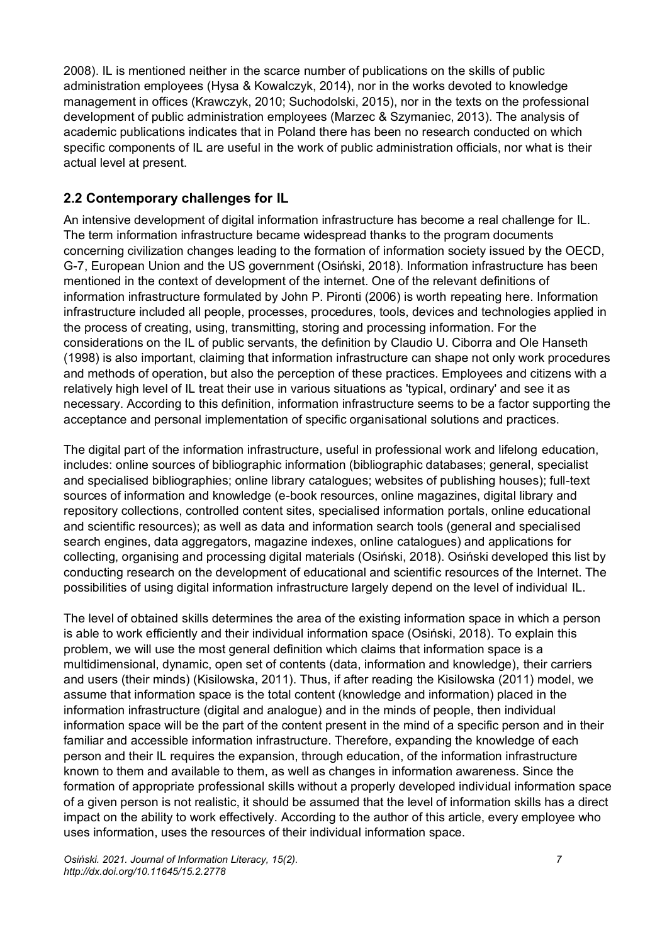2008). IL is mentioned neither in the scarce number of publications on the skills of public administration employees (Hysa & Kowalczyk, 2014), nor in the works devoted to knowledge management in offices (Krawczyk, 2010; Suchodolski, 2015), nor in the texts on the professional development of public administration employees (Marzec & Szymaniec, 2013). The analysis of academic publications indicates that in Poland there has been no research conducted on which specific components of IL are useful in the work of public administration officials, nor what is their actual level at present.

### **2.2 Contemporary challenges for IL**

An intensive development of digital information infrastructure has become a real challenge for IL. The term information infrastructure became widespread thanks to the program documents concerning civilization changes leading to the formation of information society issued by the OECD, G-7, European Union and the US government (Osiński, 2018). Information infrastructure has been mentioned in the context of development of the internet. One of the relevant definitions of information infrastructure formulated by John P. Pironti (2006) is worth repeating here. Information infrastructure included all people, processes, procedures, tools, devices and technologies applied in the process of creating, using, transmitting, storing and processing information. For the considerations on the IL of public servants, the definition by Claudio U. Ciborra and Ole Hanseth (1998) is also important, claiming that information infrastructure can shape not only work procedures and methods of operation, but also the perception of these practices. Employees and citizens with a relatively high level of IL treat their use in various situations as 'typical, ordinary' and see it as necessary. According to this definition, information infrastructure seems to be a factor supporting the acceptance and personal implementation of specific organisational solutions and practices.

The digital part of the information infrastructure, useful in professional work and lifelong education, includes: online sources of bibliographic information (bibliographic databases; general, specialist and specialised bibliographies; online library catalogues; websites of publishing houses); full-text sources of information and knowledge (e-book resources, online magazines, digital library and repository collections, controlled content sites, specialised information portals, online educational and scientific resources); as well as data and information search tools (general and specialised search engines, data aggregators, magazine indexes, online catalogues) and applications for collecting, organising and processing digital materials (Osiński, 2018). Osiński developed this list by conducting research on the development of educational and scientific resources of the Internet. The possibilities of using digital information infrastructure largely depend on the level of individual IL.

The level of obtained skills determines the area of the existing information space in which a person is able to work efficiently and their individual information space (Osiński, 2018). To explain this problem, we will use the most general definition which claims that information space is a multidimensional, dynamic, open set of contents (data, information and knowledge), their carriers and users (their minds) (Kisilowska, 2011). Thus, if after reading the Kisilowska (2011) model, we assume that information space is the total content (knowledge and information) placed in the information infrastructure (digital and analogue) and in the minds of people, then individual information space will be the part of the content present in the mind of a specific person and in their familiar and accessible information infrastructure. Therefore, expanding the knowledge of each person and their IL requires the expansion, through education, of the information infrastructure known to them and available to them, as well as changes in information awareness. Since the formation of appropriate professional skills without a properly developed individual information space of a given person is not realistic, it should be assumed that the level of information skills has a direct impact on the ability to work effectively. According to the author of this article, every employee who uses information, uses the resources of their individual information space.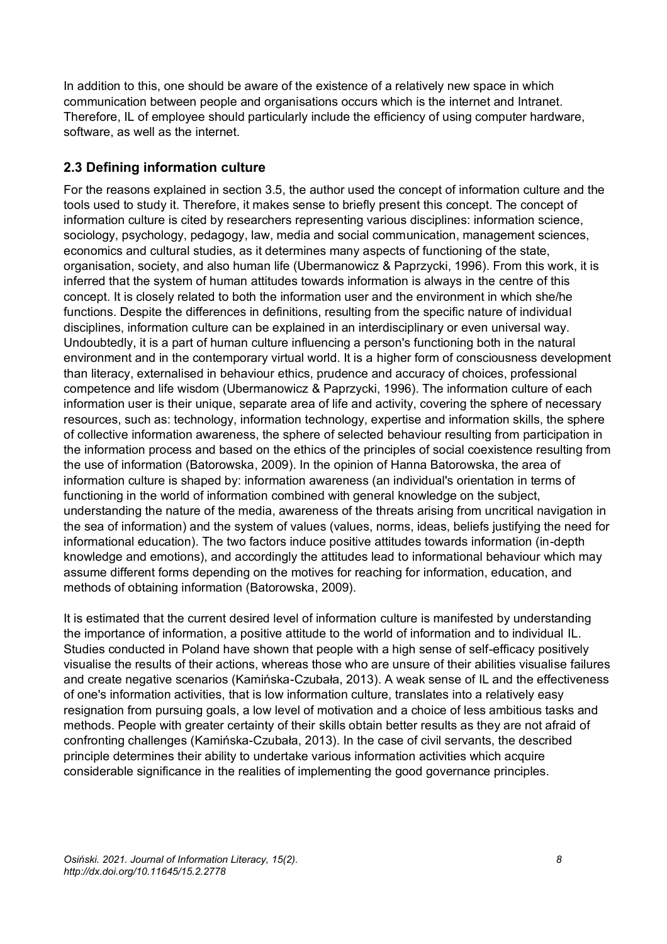In addition to this, one should be aware of the existence of a relatively new space in which communication between people and organisations occurs which is the internet and Intranet. Therefore, IL of employee should particularly include the efficiency of using computer hardware, software, as well as the internet.

### **2.3 Defining information culture**

For the reasons explained in section 3.5, the author used the concept of information culture and the tools used to study it. Therefore, it makes sense to briefly present this concept. The concept of information culture is cited by researchers representing various disciplines: information science, sociology, psychology, pedagogy, law, media and social communication, management sciences, economics and cultural studies, as it determines many aspects of functioning of the state, organisation, society, and also human life (Ubermanowicz & Paprzycki, 1996). From this work, it is inferred that the system of human attitudes towards information is always in the centre of this concept. It is closely related to both the information user and the environment in which she/he functions. Despite the differences in definitions, resulting from the specific nature of individual disciplines, information culture can be explained in an interdisciplinary or even universal way. Undoubtedly, it is a part of human culture influencing a person's functioning both in the natural environment and in the contemporary virtual world. It is a higher form of consciousness development than literacy, externalised in behaviour ethics, prudence and accuracy of choices, professional competence and life wisdom (Ubermanowicz & Paprzycki, 1996). The information culture of each information user is their unique, separate area of life and activity, covering the sphere of necessary resources, such as: technology, information technology, expertise and information skills, the sphere of collective information awareness, the sphere of selected behaviour resulting from participation in the information process and based on the ethics of the principles of social coexistence resulting from the use of information (Batorowska, 2009). In the opinion of Hanna Batorowska, the area of information culture is shaped by: information awareness (an individual's orientation in terms of functioning in the world of information combined with general knowledge on the subject, understanding the nature of the media, awareness of the threats arising from uncritical navigation in the sea of information) and the system of values (values, norms, ideas, beliefs justifying the need for informational education). The two factors induce positive attitudes towards information (in-depth knowledge and emotions), and accordingly the attitudes lead to informational behaviour which may assume different forms depending on the motives for reaching for information, education, and methods of obtaining information (Batorowska, 2009).

It is estimated that the current desired level of information culture is manifested by understanding the importance of information, a positive attitude to the world of information and to individual IL. Studies conducted in Poland have shown that people with a high sense of self-efficacy positively visualise the results of their actions, whereas those who are unsure of their abilities visualise failures and create negative scenarios (Kamińska-Czubała, 2013). A weak sense of IL and the effectiveness of one's information activities, that is low information culture, translates into a relatively easy resignation from pursuing goals, a low level of motivation and a choice of less ambitious tasks and methods. People with greater certainty of their skills obtain better results as they are not afraid of confronting challenges (Kamińska-Czubała, 2013). In the case of civil servants, the described principle determines their ability to undertake various information activities which acquire considerable significance in the realities of implementing the good governance principles.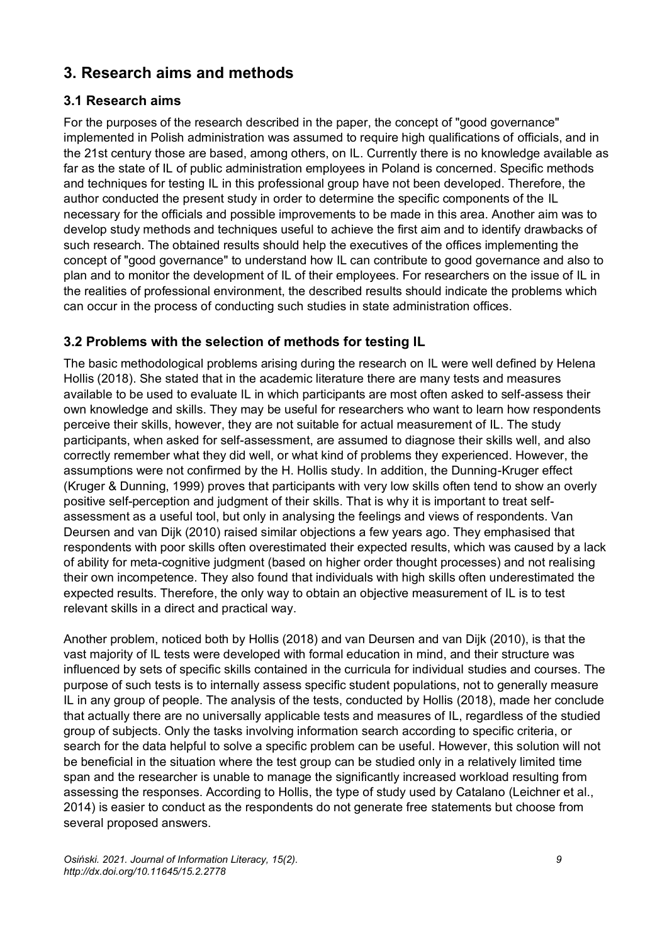# **3. Research aims and methods**

### **3.1 Research aims**

For the purposes of the research described in the paper, the concept of "good governance" implemented in Polish administration was assumed to require high qualifications of officials, and in the 21st century those are based, among others, on IL. Currently there is no knowledge available as far as the state of IL of public administration employees in Poland is concerned. Specific methods and techniques for testing IL in this professional group have not been developed. Therefore, the author conducted the present study in order to determine the specific components of the IL necessary for the officials and possible improvements to be made in this area. Another aim was to develop study methods and techniques useful to achieve the first aim and to identify drawbacks of such research. The obtained results should help the executives of the offices implementing the concept of "good governance" to understand how IL can contribute to good governance and also to plan and to monitor the development of IL of their employees. For researchers on the issue of IL in the realities of professional environment, the described results should indicate the problems which can occur in the process of conducting such studies in state administration offices.

### **3.2 Problems with the selection of methods for testing IL**

The basic methodological problems arising during the research on IL were well defined by Helena Hollis (2018). She stated that in the academic literature there are many tests and measures available to be used to evaluate IL in which participants are most often asked to self-assess their own knowledge and skills. They may be useful for researchers who want to learn how respondents perceive their skills, however, they are not suitable for actual measurement of IL. The study participants, when asked for self-assessment, are assumed to diagnose their skills well, and also correctly remember what they did well, or what kind of problems they experienced. However, the assumptions were not confirmed by the H. Hollis study. In addition, the Dunning-Kruger effect (Kruger & Dunning, 1999) proves that participants with very low skills often tend to show an overly positive self-perception and judgment of their skills. That is why it is important to treat selfassessment as a useful tool, but only in analysing the feelings and views of respondents. Van Deursen and van Dijk (2010) raised similar objections a few years ago. They emphasised that respondents with poor skills often overestimated their expected results, which was caused by a lack of ability for meta-cognitive judgment (based on higher order thought processes) and not realising their own incompetence. They also found that individuals with high skills often underestimated the expected results. Therefore, the only way to obtain an objective measurement of IL is to test relevant skills in a direct and practical way.

Another problem, noticed both by Hollis (2018) and van Deursen and van Dijk (2010), is that the vast majority of IL tests were developed with formal education in mind, and their structure was influenced by sets of specific skills contained in the curricula for individual studies and courses. The purpose of such tests is to internally assess specific student populations, not to generally measure IL in any group of people. The analysis of the tests, conducted by Hollis (2018), made her conclude that actually there are no universally applicable tests and measures of IL, regardless of the studied group of subjects. Only the tasks involving information search according to specific criteria, or search for the data helpful to solve a specific problem can be useful. However, this solution will not be beneficial in the situation where the test group can be studied only in a relatively limited time span and the researcher is unable to manage the significantly increased workload resulting from assessing the responses. According to Hollis, the type of study used by Catalano (Leichner et al., 2014) is easier to conduct as the respondents do not generate free statements but choose from several proposed answers.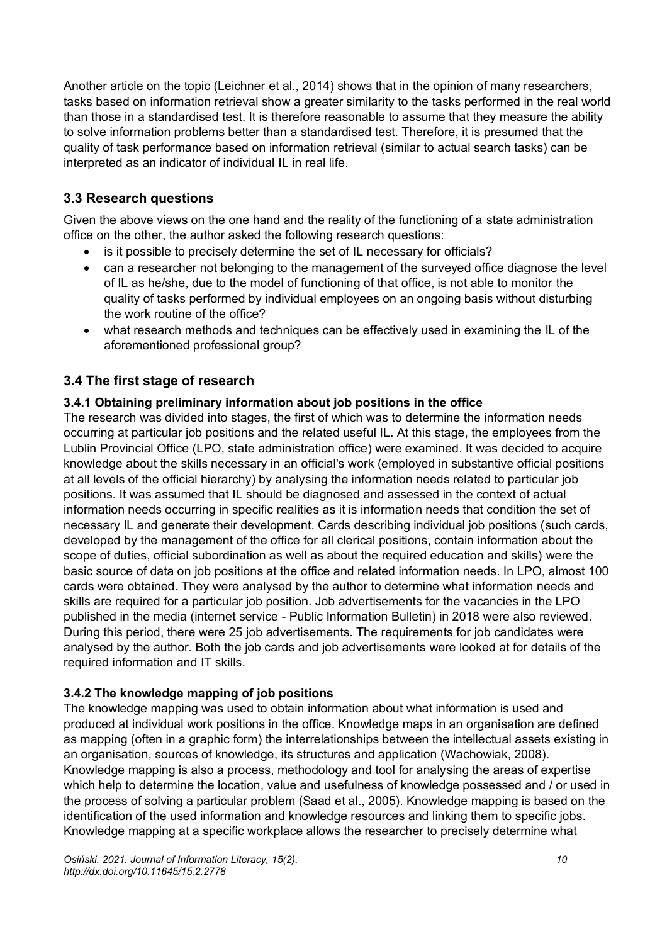Another article on the topic (Leichner et al., 2014) shows that in the opinion of many researchers, tasks based on information retrieval show a greater similarity to the tasks performed in the real world than those in a standardised test. It is therefore reasonable to assume that they measure the ability to solve information problems better than a standardised test. Therefore, it is presumed that the quality of task performance based on information retrieval (similar to actual search tasks) can be interpreted as an indicator of individual IL in real life.

### **3.3 Research questions**

Given the above views on the one hand and the reality of the functioning of a state administration office on the other, the author asked the following research questions:

- is it possible to precisely determine the set of IL necessary for officials?
- can a researcher not belonging to the management of the surveyed office diagnose the level of IL as he/she, due to the model of functioning of that office, is not able to monitor the quality of tasks performed by individual employees on an ongoing basis without disturbing the work routine of the office?
- what research methods and techniques can be effectively used in examining the IL of the aforementioned professional group?

### **3.4 The first stage of research**

#### **3.4.1 Obtaining preliminary information about job positions in the office**

The research was divided into stages, the first of which was to determine the information needs occurring at particular job positions and the related useful IL. At this stage, the employees from the Lublin Provincial Office (LPO, state administration office) were examined. It was decided to acquire knowledge about the skills necessary in an official's work (employed in substantive official positions at all levels of the official hierarchy) by analysing the information needs related to particular job positions. It was assumed that IL should be diagnosed and assessed in the context of actual information needs occurring in specific realities as it is information needs that condition the set of necessary IL and generate their development. Cards describing individual job positions (such cards, developed by the management of the office for all clerical positions, contain information about the scope of duties, official subordination as well as about the required education and skills) were the basic source of data on job positions at the office and related information needs. In LPO, almost 100 cards were obtained. They were analysed by the author to determine what information needs and skills are required for a particular job position. Job advertisements for the vacancies in the LPO published in the media (internet service - Public Information Bulletin) in 2018 were also reviewed. During this period, there were 25 job advertisements. The requirements for job candidates were analysed by the author. Both the job cards and job advertisements were looked at for details of the required information and IT skills.

#### **3.4.2 The knowledge mapping of job positions**

The knowledge mapping was used to obtain information about what information is used and produced at individual work positions in the office. Knowledge maps in an organisation are defined as mapping (often in a graphic form) the interrelationships between the intellectual assets existing in an organisation, sources of knowledge, its structures and application (Wachowiak, 2008). Knowledge mapping is also a process, methodology and tool for analysing the areas of expertise which help to determine the location, value and usefulness of knowledge possessed and / or used in the process of solving a particular problem (Saad et al., 2005). Knowledge mapping is based on the identification of the used information and knowledge resources and linking them to specific jobs. Knowledge mapping at a specific workplace allows the researcher to precisely determine what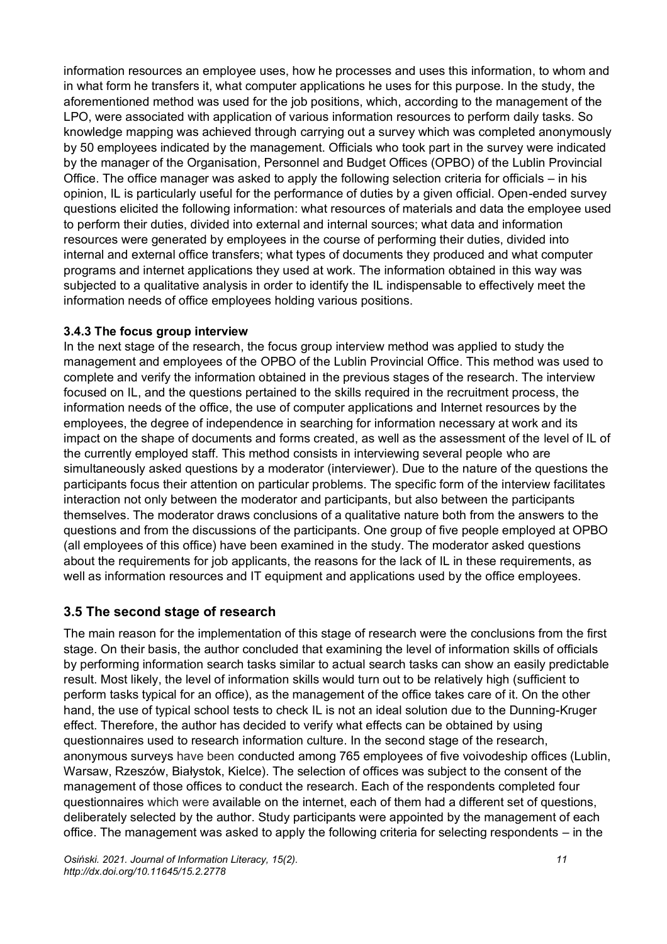information resources an employee uses, how he processes and uses this information, to whom and in what form he transfers it, what computer applications he uses for this purpose. In the study, the aforementioned method was used for the job positions, which, according to the management of the LPO, were associated with application of various information resources to perform daily tasks. So knowledge mapping was achieved through carrying out a survey which was completed anonymously by 50 employees indicated by the management. Officials who took part in the survey were indicated by the manager of the Organisation, Personnel and Budget Offices (OPBO) of the Lublin Provincial Office. The office manager was asked to apply the following selection criteria for officials – in his opinion, IL is particularly useful for the performance of duties by a given official. Open-ended survey questions elicited the following information: what resources of materials and data the employee used to perform their duties, divided into external and internal sources; what data and information resources were generated by employees in the course of performing their duties, divided into internal and external office transfers; what types of documents they produced and what computer programs and internet applications they used at work. The information obtained in this way was subjected to a qualitative analysis in order to identify the IL indispensable to effectively meet the information needs of office employees holding various positions.

#### **3.4.3 The focus group interview**

In the next stage of the research, the focus group interview method was applied to study the management and employees of the OPBO of the Lublin Provincial Office. This method was used to complete and verify the information obtained in the previous stages of the research. The interview focused on IL, and the questions pertained to the skills required in the recruitment process, the information needs of the office, the use of computer applications and Internet resources by the employees, the degree of independence in searching for information necessary at work and its impact on the shape of documents and forms created, as well as the assessment of the level of IL of the currently employed staff. This method consists in interviewing several people who are simultaneously asked questions by a moderator (interviewer). Due to the nature of the questions the participants focus their attention on particular problems. The specific form of the interview facilitates interaction not only between the moderator and participants, but also between the participants themselves. The moderator draws conclusions of a qualitative nature both from the answers to the questions and from the discussions of the participants. One group of five people employed at OPBO (all employees of this office) have been examined in the study. The moderator asked questions about the requirements for job applicants, the reasons for the lack of IL in these requirements, as well as information resources and IT equipment and applications used by the office employees.

### **3.5 The second stage of research**

The main reason for the implementation of this stage of research were the conclusions from the first stage. On their basis, the author concluded that examining the level of information skills of officials by performing information search tasks similar to actual search tasks can show an easily predictable result. Most likely, the level of information skills would turn out to be relatively high (sufficient to perform tasks typical for an office), as the management of the office takes care of it. On the other hand, the use of typical school tests to check IL is not an ideal solution due to the Dunning-Kruger effect. Therefore, the author has decided to verify what effects can be obtained by using questionnaires used to research information culture. In the second stage of the research, anonymous surveys have been conducted among 765 employees of five voivodeship offices (Lublin, Warsaw, Rzeszów, Białystok, Kielce). The selection of offices was subject to the consent of the management of those offices to conduct the research. Each of the respondents completed four questionnaires which were available on the internet, each of them had a different set of questions, deliberately selected by the author. Study participants were appointed by the management of each office. The management was asked to apply the following criteria for selecting respondents – in the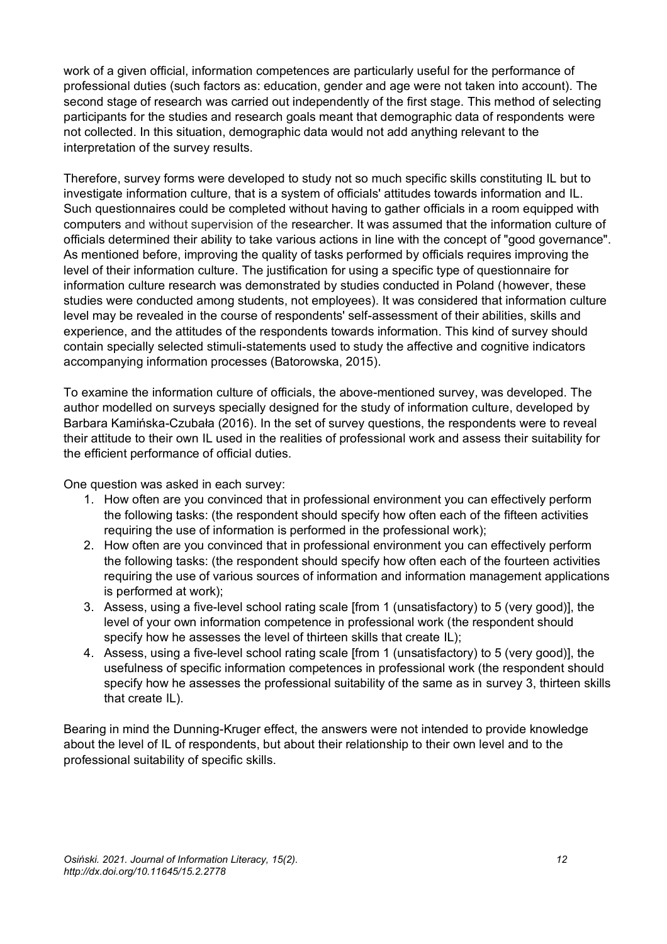work of a given official, information competences are particularly useful for the performance of professional duties (such factors as: education, gender and age were not taken into account). The second stage of research was carried out independently of the first stage. This method of selecting participants for the studies and research goals meant that demographic data of respondents were not collected. In this situation, demographic data would not add anything relevant to the interpretation of the survey results.

Therefore, survey forms were developed to study not so much specific skills constituting IL but to investigate information culture, that is a system of officials' attitudes towards information and IL. Such questionnaires could be completed without having to gather officials in a room equipped with computers and without supervision of the researcher. It was assumed that the information culture of officials determined their ability to take various actions in line with the concept of "good governance". As mentioned before, improving the quality of tasks performed by officials requires improving the level of their information culture. The justification for using a specific type of questionnaire for information culture research was demonstrated by studies conducted in Poland (however, these studies were conducted among students, not employees). It was considered that information culture level may be revealed in the course of respondents' self-assessment of their abilities, skills and experience, and the attitudes of the respondents towards information. This kind of survey should contain specially selected stimuli-statements used to study the affective and cognitive indicators accompanying information processes (Batorowska, 2015).

To examine the information culture of officials, the above-mentioned survey, was developed. The author modelled on surveys specially designed for the study of information culture, developed by Barbara Kamińska-Czubała (2016). In the set of survey questions, the respondents were to reveal their attitude to their own IL used in the realities of professional work and assess their suitability for the efficient performance of official duties.

One question was asked in each survey:

- 1. How often are you convinced that in professional environment you can effectively perform the following tasks: (the respondent should specify how often each of the fifteen activities requiring the use of information is performed in the professional work);
- 2. How often are you convinced that in professional environment you can effectively perform the following tasks: (the respondent should specify how often each of the fourteen activities requiring the use of various sources of information and information management applications is performed at work);
- 3. Assess, using a five-level school rating scale [from 1 (unsatisfactory) to 5 (very good)], the level of your own information competence in professional work (the respondent should specify how he assesses the level of thirteen skills that create IL);
- 4. Assess, using a five-level school rating scale [from 1 (unsatisfactory) to 5 (very good)], the usefulness of specific information competences in professional work (the respondent should specify how he assesses the professional suitability of the same as in survey 3, thirteen skills that create IL).

Bearing in mind the Dunning-Kruger effect, the answers were not intended to provide knowledge about the level of IL of respondents, but about their relationship to their own level and to the professional suitability of specific skills.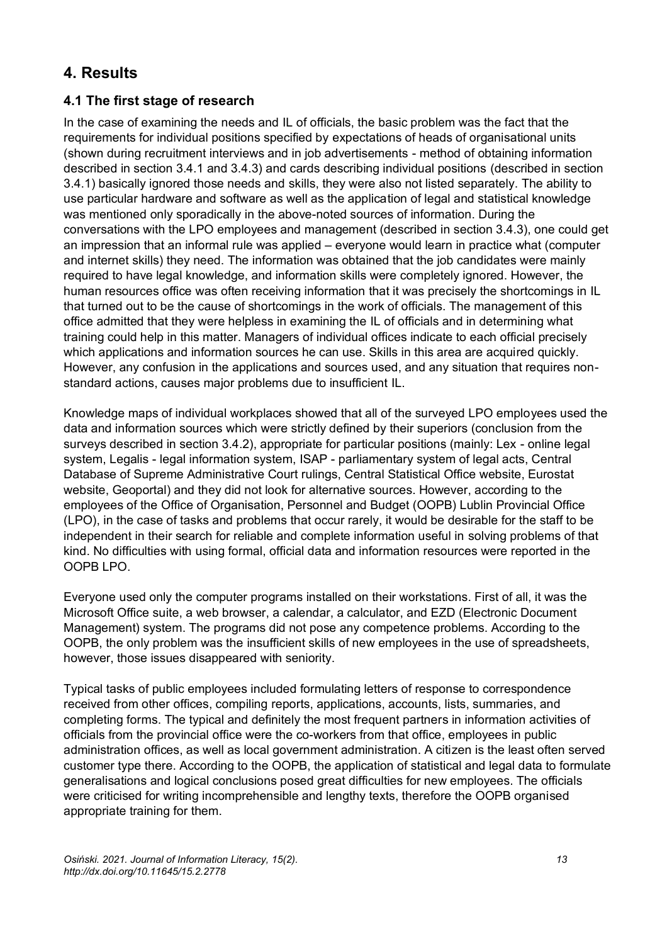# **4. Results**

### **4.1 The first stage of research**

In the case of examining the needs and IL of officials, the basic problem was the fact that the requirements for individual positions specified by expectations of heads of organisational units (shown during recruitment interviews and in job advertisements - method of obtaining information described in section 3.4.1 and 3.4.3) and cards describing individual positions (described in section 3.4.1) basically ignored those needs and skills, they were also not listed separately. The ability to use particular hardware and software as well as the application of legal and statistical knowledge was mentioned only sporadically in the above-noted sources of information. During the conversations with the LPO employees and management (described in section 3.4.3), one could get an impression that an informal rule was applied – everyone would learn in practice what (computer and internet skills) they need. The information was obtained that the job candidates were mainly required to have legal knowledge, and information skills were completely ignored. However, the human resources office was often receiving information that it was precisely the shortcomings in IL that turned out to be the cause of shortcomings in the work of officials. The management of this office admitted that they were helpless in examining the IL of officials and in determining what training could help in this matter. Managers of individual offices indicate to each official precisely which applications and information sources he can use. Skills in this area are acquired quickly. However, any confusion in the applications and sources used, and any situation that requires nonstandard actions, causes major problems due to insufficient IL.

Knowledge maps of individual workplaces showed that all of the surveyed LPO employees used the data and information sources which were strictly defined by their superiors (conclusion from the surveys described in section 3.4.2), appropriate for particular positions (mainly: Lex - online legal system, Legalis - legal information system, ISAP - parliamentary system of legal acts, Central Database of Supreme Administrative Court rulings, Central Statistical Office website, Eurostat website, Geoportal) and they did not look for alternative sources. However, according to the employees of the Office of Organisation, Personnel and Budget (OOPB) Lublin Provincial Office (LPO), in the case of tasks and problems that occur rarely, it would be desirable for the staff to be independent in their search for reliable and complete information useful in solving problems of that kind. No difficulties with using formal, official data and information resources were reported in the OOPB LPO.

Everyone used only the computer programs installed on their workstations. First of all, it was the Microsoft Office suite, a web browser, a calendar, a calculator, and EZD (Electronic Document Management) system. The programs did not pose any competence problems. According to the OOPB, the only problem was the insufficient skills of new employees in the use of spreadsheets, however, those issues disappeared with seniority.

Typical tasks of public employees included formulating letters of response to correspondence received from other offices, compiling reports, applications, accounts, lists, summaries, and completing forms. The typical and definitely the most frequent partners in information activities of officials from the provincial office were the co-workers from that office, employees in public administration offices, as well as local government administration. A citizen is the least often served customer type there. According to the OOPB, the application of statistical and legal data to formulate generalisations and logical conclusions posed great difficulties for new employees. The officials were criticised for writing incomprehensible and lengthy texts, therefore the OOPB organised appropriate training for them.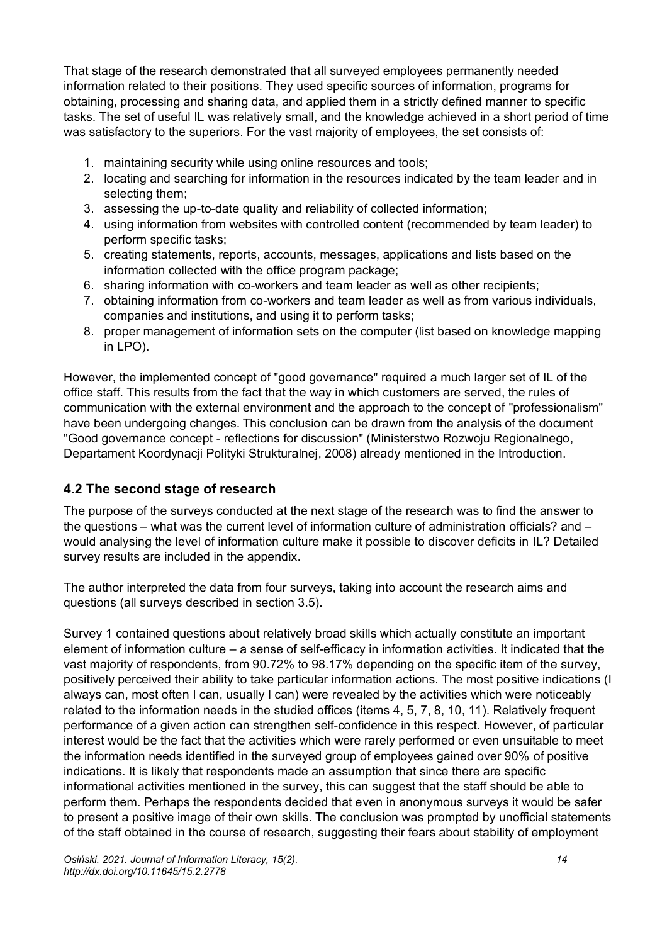That stage of the research demonstrated that all surveyed employees permanently needed information related to their positions. They used specific sources of information, programs for obtaining, processing and sharing data, and applied them in a strictly defined manner to specific tasks. The set of useful IL was relatively small, and the knowledge achieved in a short period of time was satisfactory to the superiors. For the vast majority of employees, the set consists of:

- 1. maintaining security while using online resources and tools;
- 2. locating and searching for information in the resources indicated by the team leader and in selecting them;
- 3. assessing the up-to-date quality and reliability of collected information;
- 4. using information from websites with controlled content (recommended by team leader) to perform specific tasks;
- 5. creating statements, reports, accounts, messages, applications and lists based on the information collected with the office program package;
- 6. sharing information with co-workers and team leader as well as other recipients;
- 7. obtaining information from co-workers and team leader as well as from various individuals, companies and institutions, and using it to perform tasks;
- 8. proper management of information sets on the computer (list based on knowledge mapping in LPO).

However, the implemented concept of "good governance" required a much larger set of IL of the office staff. This results from the fact that the way in which customers are served, the rules of communication with the external environment and the approach to the concept of "professionalism" have been undergoing changes. This conclusion can be drawn from the analysis of the document "Good governance concept - reflections for discussion" (Ministerstwo Rozwoju Regionalnego, Departament Koordynacji Polityki Strukturalnej, 2008) already mentioned in the Introduction.

#### **4.2 The second stage of research**

The purpose of the surveys conducted at the next stage of the research was to find the answer to the questions – what was the current level of information culture of administration officials? and – would analysing the level of information culture make it possible to discover deficits in IL? Detailed survey results are included in the appendix.

The author interpreted the data from four surveys, taking into account the research aims and questions (all surveys described in section 3.5).

Survey 1 contained questions about relatively broad skills which actually constitute an important element of information culture – a sense of self-efficacy in information activities. It indicated that the vast majority of respondents, from 90.72% to 98.17% depending on the specific item of the survey, positively perceived their ability to take particular information actions. The most positive indications (I always can, most often I can, usually I can) were revealed by the activities which were noticeably related to the information needs in the studied offices (items 4, 5, 7, 8, 10, 11). Relatively frequent performance of a given action can strengthen self-confidence in this respect. However, of particular interest would be the fact that the activities which were rarely performed or even unsuitable to meet the information needs identified in the surveyed group of employees gained over 90% of positive indications. It is likely that respondents made an assumption that since there are specific informational activities mentioned in the survey, this can suggest that the staff should be able to perform them. Perhaps the respondents decided that even in anonymous surveys it would be safer to present a positive image of their own skills. The conclusion was prompted by unofficial statements of the staff obtained in the course of research, suggesting their fears about stability of employment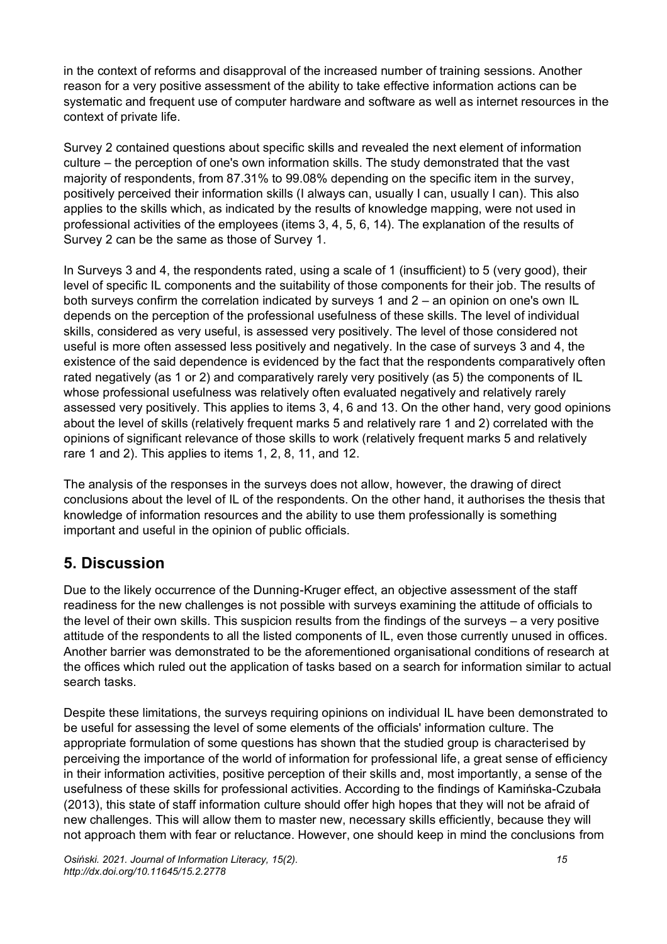in the context of reforms and disapproval of the increased number of training sessions. Another reason for a very positive assessment of the ability to take effective information actions can be systematic and frequent use of computer hardware and software as well as internet resources in the context of private life.

Survey 2 contained questions about specific skills and revealed the next element of information culture – the perception of one's own information skills. The study demonstrated that the vast majority of respondents, from 87.31% to 99.08% depending on the specific item in the survey, positively perceived their information skills (I always can, usually I can, usually I can). This also applies to the skills which, as indicated by the results of knowledge mapping, were not used in professional activities of the employees (items 3, 4, 5, 6, 14). The explanation of the results of Survey 2 can be the same as those of Survey 1.

In Surveys 3 and 4, the respondents rated, using a scale of 1 (insufficient) to 5 (very good), their level of specific IL components and the suitability of those components for their job. The results of both surveys confirm the correlation indicated by surveys 1 and 2 – an opinion on one's own IL depends on the perception of the professional usefulness of these skills. The level of individual skills, considered as very useful, is assessed very positively. The level of those considered not useful is more often assessed less positively and negatively. In the case of surveys 3 and 4, the existence of the said dependence is evidenced by the fact that the respondents comparatively often rated negatively (as 1 or 2) and comparatively rarely very positively (as 5) the components of IL whose professional usefulness was relatively often evaluated negatively and relatively rarely assessed very positively. This applies to items 3, 4, 6 and 13. On the other hand, very good opinions about the level of skills (relatively frequent marks 5 and relatively rare 1 and 2) correlated with the opinions of significant relevance of those skills to work (relatively frequent marks 5 and relatively rare 1 and 2). This applies to items 1, 2, 8, 11, and 12.

The analysis of the responses in the surveys does not allow, however, the drawing of direct conclusions about the level of IL of the respondents. On the other hand, it authorises the thesis that knowledge of information resources and the ability to use them professionally is something important and useful in the opinion of public officials.

# **5. Discussion**

Due to the likely occurrence of the Dunning-Kruger effect, an objective assessment of the staff readiness for the new challenges is not possible with surveys examining the attitude of officials to the level of their own skills. This suspicion results from the findings of the surveys – a very positive attitude of the respondents to all the listed components of IL, even those currently unused in offices. Another barrier was demonstrated to be the aforementioned organisational conditions of research at the offices which ruled out the application of tasks based on a search for information similar to actual search tasks.

Despite these limitations, the surveys requiring opinions on individual IL have been demonstrated to be useful for assessing the level of some elements of the officials' information culture. The appropriate formulation of some questions has shown that the studied group is characterised by perceiving the importance of the world of information for professional life, a great sense of efficiency in their information activities, positive perception of their skills and, most importantly, a sense of the usefulness of these skills for professional activities. According to the findings of Kamińska-Czubała (2013), this state of staff information culture should offer high hopes that they will not be afraid of new challenges. This will allow them to master new, necessary skills efficiently, because they will not approach them with fear or reluctance. However, one should keep in mind the conclusions from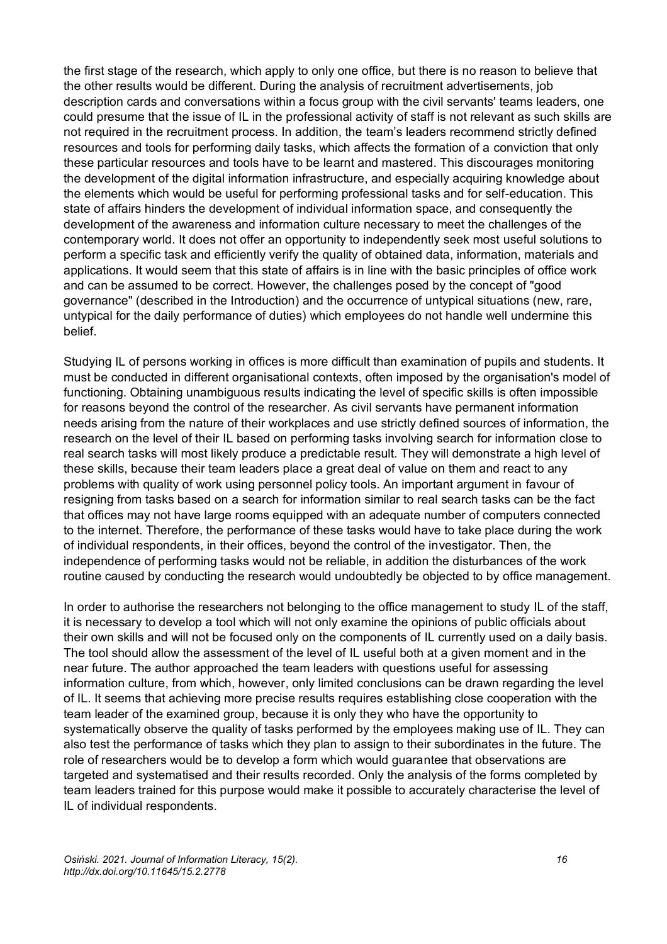the first stage of the research, which apply to only one office, but there is no reason to believe that the other results would be different. During the analysis of recruitment advertisements, job description cards and conversations within a focus group with the civil servants' teams leaders, one could presume that the issue of IL in the professional activity of staff is not relevant as such skills are not required in the recruitment process. In addition, the team's leaders recommend strictly defined resources and tools for performing daily tasks, which affects the formation of a conviction that only these particular resources and tools have to be learnt and mastered. This discourages monitoring the development of the digital information infrastructure, and especially acquiring knowledge about the elements which would be useful for performing professional tasks and for self-education. This state of affairs hinders the development of individual information space, and consequently the development of the awareness and information culture necessary to meet the challenges of the contemporary world. It does not offer an opportunity to independently seek most useful solutions to perform a specific task and efficiently verify the quality of obtained data, information, materials and applications. It would seem that this state of affairs is in line with the basic principles of office work and can be assumed to be correct. However, the challenges posed by the concept of "good governance" (described in the Introduction) and the occurrence of untypical situations (new, rare, untypical for the daily performance of duties) which employees do not handle well undermine this belief.

Studying IL of persons working in offices is more difficult than examination of pupils and students. It must be conducted in different organisational contexts, often imposed by the organisation's model of functioning. Obtaining unambiguous results indicating the level of specific skills is often impossible for reasons beyond the control of the researcher. As civil servants have permanent information needs arising from the nature of their workplaces and use strictly defined sources of information, the research on the level of their IL based on performing tasks involving search for information close to real search tasks will most likely produce a predictable result. They will demonstrate a high level of these skills, because their team leaders place a great deal of value on them and react to any problems with quality of work using personnel policy tools. An important argument in favour of resigning from tasks based on a search for information similar to real search tasks can be the fact that offices may not have large rooms equipped with an adequate number of computers connected to the internet. Therefore, the performance of these tasks would have to take place during the work of individual respondents, in their offices, beyond the control of the investigator. Then, the independence of performing tasks would not be reliable, in addition the disturbances of the work routine caused by conducting the research would undoubtedly be objected to by office management.

In order to authorise the researchers not belonging to the office management to study IL of the staff, it is necessary to develop a tool which will not only examine the opinions of public officials about their own skills and will not be focused only on the components of IL currently used on a daily basis. The tool should allow the assessment of the level of IL useful both at a given moment and in the near future. The author approached the team leaders with questions useful for assessing information culture, from which, however, only limited conclusions can be drawn regarding the level of IL. It seems that achieving more precise results requires establishing close cooperation with the team leader of the examined group, because it is only they who have the opportunity to systematically observe the quality of tasks performed by the employees making use of IL. They can also test the performance of tasks which they plan to assign to their subordinates in the future. The role of researchers would be to develop a form which would guarantee that observations are targeted and systematised and their results recorded. Only the analysis of the forms completed by team leaders trained for this purpose would make it possible to accurately characterise the level of IL of individual respondents.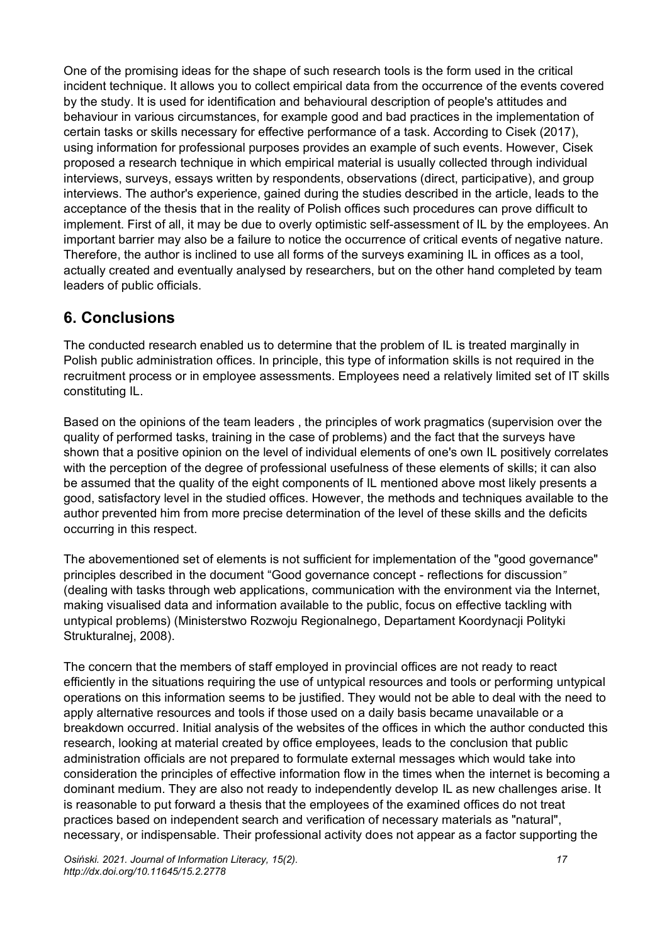One of the promising ideas for the shape of such research tools is the form used in the critical incident technique. It allows you to collect empirical data from the occurrence of the events covered by the study. It is used for identification and behavioural description of people's attitudes and behaviour in various circumstances, for example good and bad practices in the implementation of certain tasks or skills necessary for effective performance of a task. According to Cisek (2017), using information for professional purposes provides an example of such events. However, Cisek proposed a research technique in which empirical material is usually collected through individual interviews, surveys, essays written by respondents, observations (direct, participative), and group interviews. The author's experience, gained during the studies described in the article, leads to the acceptance of the thesis that in the reality of Polish offices such procedures can prove difficult to implement. First of all, it may be due to overly optimistic self-assessment of IL by the employees. An important barrier may also be a failure to notice the occurrence of critical events of negative nature. Therefore, the author is inclined to use all forms of the surveys examining IL in offices as a tool, actually created and eventually analysed by researchers, but on the other hand completed by team leaders of public officials.

## **6. Conclusions**

The conducted research enabled us to determine that the problem of IL is treated marginally in Polish public administration offices. In principle, this type of information skills is not required in the recruitment process or in employee assessments. Employees need a relatively limited set of IT skills constituting IL.

Based on the opinions of the team leaders , the principles of work pragmatics (supervision over the quality of performed tasks, training in the case of problems) and the fact that the surveys have shown that a positive opinion on the level of individual elements of one's own IL positively correlates with the perception of the degree of professional usefulness of these elements of skills; it can also be assumed that the quality of the eight components of IL mentioned above most likely presents a good, satisfactory level in the studied offices. However, the methods and techniques available to the author prevented him from more precise determination of the level of these skills and the deficits occurring in this respect.

The abovementioned set of elements is not sufficient for implementation of the "good governance" principles described in the document "Good governance concept - reflections for discussion*"* (dealing with tasks through web applications, communication with the environment via the Internet, making visualised data and information available to the public, focus on effective tackling with untypical problems) (Ministerstwo Rozwoju Regionalnego, Departament Koordynacji Polityki Strukturalnej, 2008).

The concern that the members of staff employed in provincial offices are not ready to react efficiently in the situations requiring the use of untypical resources and tools or performing untypical operations on this information seems to be justified. They would not be able to deal with the need to apply alternative resources and tools if those used on a daily basis became unavailable or a breakdown occurred. Initial analysis of the websites of the offices in which the author conducted this research, looking at material created by office employees, leads to the conclusion that public administration officials are not prepared to formulate external messages which would take into consideration the principles of effective information flow in the times when the internet is becoming a dominant medium. They are also not ready to independently develop IL as new challenges arise. It is reasonable to put forward a thesis that the employees of the examined offices do not treat practices based on independent search and verification of necessary materials as "natural", necessary, or indispensable. Their professional activity does not appear as a factor supporting the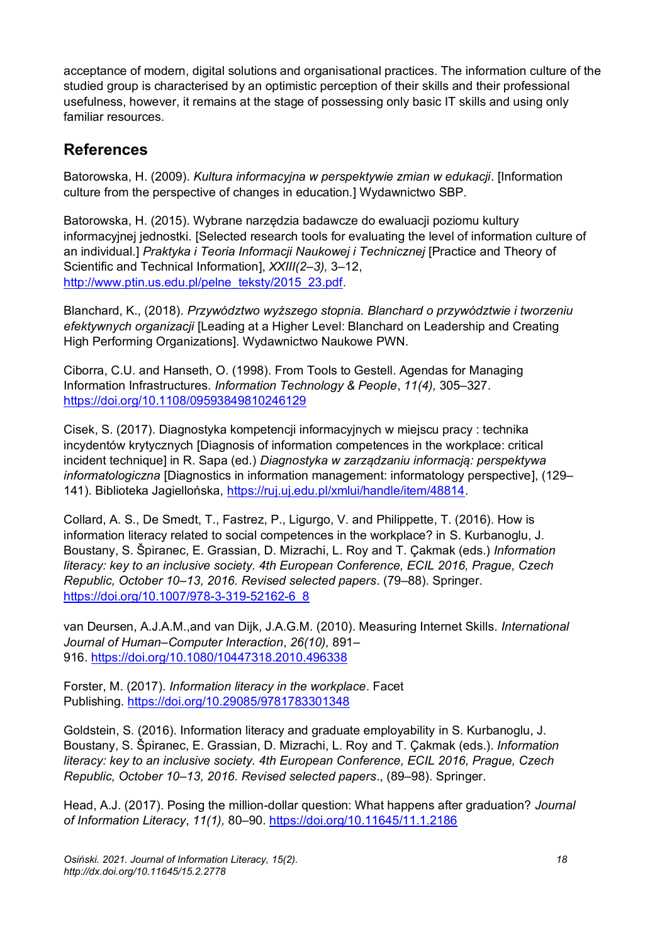acceptance of modern, digital solutions and organisational practices. The information culture of the studied group is characterised by an optimistic perception of their skills and their professional usefulness, however, it remains at the stage of possessing only basic IT skills and using only familiar resources.

# **References**

Batorowska, H. (2009). *Kultura informacyjna w perspektywie zmian w edukacji*. [Information culture from the perspective of changes in education.] Wydawnictwo SBP.

Batorowska, H. (2015). Wybrane narzędzia badawcze do ewaluacji poziomu kultury informacyjnej jednostki. [Selected research tools for evaluating the level of information culture of an individual.] *Praktyka i Teoria Informacji Naukowej i Technicznej* [Practice and Theory of Scientific and Technical Information], *XXIII(2–3),* 3–12, [http://www.ptin.us.edu.pl/pelne\\_teksty/2015\\_23.pdf.](file:///C:/Users/zbign/Downloads/%22)

Blanchard, K., (2018). *Przywództwo wyższego stopnia. Blanchard o przywództwie i tworzeniu efektywnych organizacji* [Leading at a Higher Level: Blanchard on Leadership and Creating High Performing Organizations]. Wydawnictwo Naukowe PWN.

Ciborra, C.U. and Hanseth, O. (1998). From Tools to Gestell. Agendas for Managing Information Infrastructures. *Information Technology & People*, *11(4),* 305–327. <https://doi.org/10.1108/09593849810246129>

Cisek, S. (2017). Diagnostyka kompetencji informacyjnych w miejscu pracy : technika incydentów krytycznych [Diagnosis of information competences in the workplace: critical incident technique] in R. Sapa (ed.) *Diagnostyka w zarządzaniu informacją: perspektywa informatologiczna* [Diagnostics in information management: informatology perspective], (129– 141). Biblioteka Jagiellońska, [https://ruj.uj.edu.pl/xmlui/handle/item/48814.](https://ruj.uj.edu.pl/xmlui/handle/item/48814)

Collard, A. S., De Smedt, T., Fastrez, P., Ligurgo, V. and Philippette, T. (2016). How is information literacy related to social competences in the workplace? in S. Kurbanoglu, J. Boustany, S. Špiranec, E. Grassian, D. Mizrachi, L. Roy and T. Çakmak (eds.) *Information literacy: key to an inclusive society. 4th European Conference, ECIL 2016, Prague, Czech Republic, October 10*–*13, 2016. Revised selected papers*. (79–88). Springer. [https://doi.org/10.1007/978-3-319-52162-6\\_8](https://doi.org/10.1007/978-3-319-52162-6_8)

van Deursen, A.J.A.M.,and van Dijk, J.A.G.M. (2010). Measuring Internet Skills. *International Journal of Human–Computer Interaction*, *26(10),* 891– 916. <https://doi.org/10.1080/10447318.2010.496338>

Forster, M. (2017). *Information literacy in the workplace*. Facet Publishing. <https://doi.org/10.29085/9781783301348>

Goldstein, S. (2016). Information literacy and graduate employability in S. Kurbanoglu, J. Boustany, S. Špiranec, E. Grassian, D. Mizrachi, L. Roy and T. Çakmak (eds.). *Information literacy: key to an inclusive society. 4th European Conference, ECIL 2016, Prague, Czech Republic, October 10*–*13, 2016. Revised selected papers*., (89–98). Springer.

Head, A.J. (2017). Posing the million-dollar question: What happens after graduation? *Journal of Information Literacy*, *11(1),* 80–90.<https://doi.org/10.11645/11.1.2186>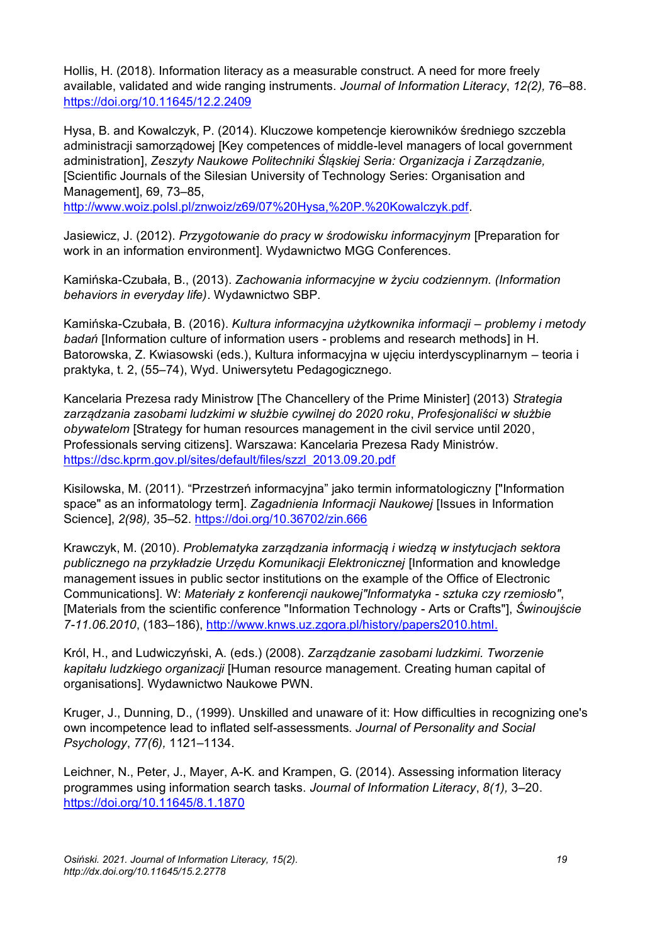Hollis, H. (2018). Information literacy as a measurable construct. A need for more freely available, validated and wide ranging instruments. *Journal of Information Literacy*, *12(2),* 76–88. <https://doi.org/10.11645/12.2.2409>

Hysa, B. and Kowalczyk, P. (2014). Kluczowe kompetencje kierowników średniego szczebla administracji samorządowej [Key competences of middle-level managers of local government administration], *Zeszyty Naukowe Politechniki Śląskiej Seria: Organizacja i Zarządzanie,*  [Scientific Journals of the Silesian University of Technology Series: Organisation and Management], 69, 73–85,

[http://www.woiz.polsl.pl/znwoiz/z69/07%20Hysa,%20P.%20Kowalczyk.pdf.](http://www.woiz.polsl.pl/znwoiz/z69/07%20Hysa,%20P.%20Kowalczyk.pdf)

Jasiewicz, J. (2012). *Przygotowanie do pracy w środowisku informacyjnym* [Preparation for work in an information environment]. Wydawnictwo MGG Conferences.

Kamińska-Czubała, B., (2013). *Zachowania informacyjne w życiu codziennym. (Information behaviors in everyday life)*. Wydawnictwo SBP.

Kamińska-Czubała, B. (2016). *Kultura informacyjna użytkownika informacji – problemy i metody badań* [Information culture of information users - problems and research methods] in H. Batorowska, Z. Kwiasowski (eds.), Kultura informacyjna w ujęciu interdyscyplinarnym – teoria i praktyka, t. 2, (55–74), Wyd. Uniwersytetu Pedagogicznego.

Kancelaria Prezesa rady Ministrow [The Chancellery of the Prime Minister] (2013) *Strategia zarządzania zasobami ludzkimi w służbie cywilnej do 2020 roku*, *Profesjonaliści w służbie obywatelom* [Strategy for human resources management in the civil service until 2020, Professionals serving citizens]. Warszawa: Kancelaria Prezesa Rady Ministrów. [https://dsc.kprm.gov.pl/sites/default/files/szzl\\_2013.09.20.pdf](https://dsc.kprm.gov.pl/sites/default/files/szzl_2013.09.20.pdf)

Kisilowska, M. (2011). "Przestrzeń informacyjna" jako termin informatologiczny ["Information space" as an informatology term]. *Zagadnienia Informacji Naukowej* [Issues in Information Science], *2(98),* 35–52.<https://doi.org/10.36702/zin.666>

Krawczyk, M. (2010). *Problematyka zarządzania informacją i wiedzą w instytucjach sektora publicznego na przykładzie Urzędu Komunikacji Elektronicznej* [Information and knowledge management issues in public sector institutions on the example of the Office of Electronic Communications]. W: *Materiały z konferencji naukowej"Informatyka - sztuka czy rzemiosło"*, [Materials from the scientific conference "Information Technology - Arts or Crafts"], *Świnoujście 7-11.06.2010*, (183–186), [http://www.knws.uz.zgora.pl/history/papers2010.html.](http://www.knws.uz.zgora.pl/history/papers2010.html)

Król, H., and Ludwiczyński, A. (eds.) (2008). *Zarządzanie zasobami ludzkimi. Tworzenie kapitału ludzkiego organizacji* [Human resource management. Creating human capital of organisations]. Wydawnictwo Naukowe PWN.

Kruger, J., Dunning, D., (1999). Unskilled and unaware of it: How difficulties in recognizing one's own incompetence lead to inflated self-assessments. *Journal of Personality and Social Psychology*, *77(6),* 1121–1134.

Leichner, N., Peter, J., Mayer, A-K. and Krampen, G. (2014). Assessing information literacy programmes using information search tasks. *Journal of Information Literacy*, *8(1),* 3–20. <https://doi.org/10.11645/8.1.1870>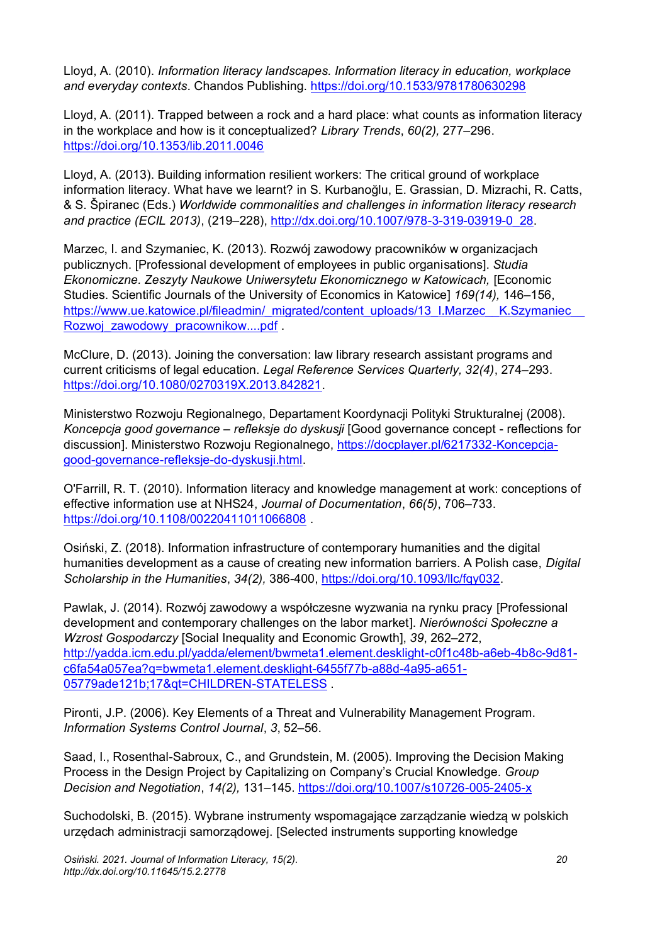Lloyd, A. (2010). *Information literacy landscapes. Information literacy in education, workplace and everyday contexts*. Chandos Publishing. <https://doi.org/10.1533/9781780630298>

Lloyd, A. (2011). Trapped between a rock and a hard place: what counts as information literacy in the workplace and how is it conceptualized? *Library Trends*, *60(2),* 277–296. <https://doi.org/10.1353/lib.2011.0046>

Lloyd, A. (2013). Building information resilient workers: The critical ground of workplace information literacy. What have we learnt? in S. Kurbanoğlu, E. Grassian, D. Mizrachi, R. Catts, & S. Špiranec (Eds.) *Worldwide commonalities and challenges in information literacy research and practice (ECIL 2013)*, (219–228), [http://dx.doi.org/10.1007/978-3-319-03919-0\\_28.](http://dx.doi.org/10.1007/978-3-319-03919-0_28)

Marzec, I. and Szymaniec, K. (2013). Rozwój zawodowy pracowników w organizacjach publicznych. [Professional development of employees in public organisations]. *Studia Ekonomiczne. Zeszyty Naukowe Uniwersytetu Ekonomicznego w Katowicach,* [Economic Studies. Scientific Journals of the University of Economics in Katowice] *169(14),* 146–156, https://www.ue.katowice.pl/fileadmin/\_migrated/content\_uploads/13\_I.Marzec\_\_K.Szymaniec Rozwoj zawodowy pracownikow....pdf

McClure, D. (2013). Joining the conversation: law library research assistant programs and current criticisms of legal education. *Legal Reference Services Quarterly, 32(4)*, 274–293. [https://doi.org/10.1080/0270319X.2013.842821.](https://doi.org/10.1080/0270319X.2013.842821)

Ministerstwo Rozwoju Regionalnego, Departament Koordynacji Polityki Strukturalnej (2008). *Koncepcja good governance – refleksje do dyskusji* [Good governance concept - reflections for discussion]. Ministerstwo Rozwoju Regionalnego, [https://docplayer.pl/6217332-Koncepcja](https://docplayer.pl/6217332-Koncepcja-good-governance-refleksje-do-dyskusji.html)[good-governance-refleksje-do-dyskusji.html.](https://docplayer.pl/6217332-Koncepcja-good-governance-refleksje-do-dyskusji.html)

O'Farrill, R. T. (2010). Information literacy and knowledge management at work: conceptions of effective information use at NHS24, *Journal of Documentation*, *66(5)*, 706–733. <https://doi.org/10.1108/00220411011066808> .

Osiński, Z. (2018). Information infrastructure of contemporary humanities and the digital humanities development as a cause of creating new information barriers. A Polish case, *Digital Scholarship in the Humanities*, *34(2),* 386-400, [https://doi.org/10.1093/llc/fqy032.](https://doi.org/10.1093/llc/fqy032)

Pawlak, J. (2014). Rozwój zawodowy a współczesne wyzwania na rynku pracy [Professional development and contemporary challenges on the labor market]. *Nierówności Społeczne a Wzrost Gospodarczy* [Social Inequality and Economic Growth], *39*, 262–272, [http://yadda.icm.edu.pl/yadda/element/bwmeta1.element.desklight-c0f1c48b-a6eb-4b8c-9d81](http://yadda.icm.edu.pl/yadda/element/bwmeta1.element.desklight-c0f1c48b-a6eb-4b8c-9d81-c6fa54a057ea?q=bwmeta1.element.desklight-6455f77b-a88d-4a95-a651-05779ade121b;17&qt=CHILDREN-STATELESS) [c6fa54a057ea?q=bwmeta1.element.desklight-6455f77b-a88d-4a95-a651-](http://yadda.icm.edu.pl/yadda/element/bwmeta1.element.desklight-c0f1c48b-a6eb-4b8c-9d81-c6fa54a057ea?q=bwmeta1.element.desklight-6455f77b-a88d-4a95-a651-05779ade121b;17&qt=CHILDREN-STATELESS) [05779ade121b;17&qt=CHILDREN-STATELESS](http://yadda.icm.edu.pl/yadda/element/bwmeta1.element.desklight-c0f1c48b-a6eb-4b8c-9d81-c6fa54a057ea?q=bwmeta1.element.desklight-6455f77b-a88d-4a95-a651-05779ade121b;17&qt=CHILDREN-STATELESS) .

Pironti, J.P. (2006). Key Elements of a Threat and Vulnerability Management Program. *Information Systems Control Journal*, *3*, 52–56.

Saad, I., Rosenthal-Sabroux, C., and Grundstein, M. (2005). Improving the Decision Making Process in the Design Project by Capitalizing on Company's Crucial Knowledge. *Group Decision and Negotiation*, *14(2),* 131–145. <https://doi.org/10.1007/s10726-005-2405-x>

Suchodolski, B. (2015). Wybrane instrumenty wspomagające zarządzanie wiedzą w polskich urzędach administracji samorządowej. [Selected instruments supporting knowledge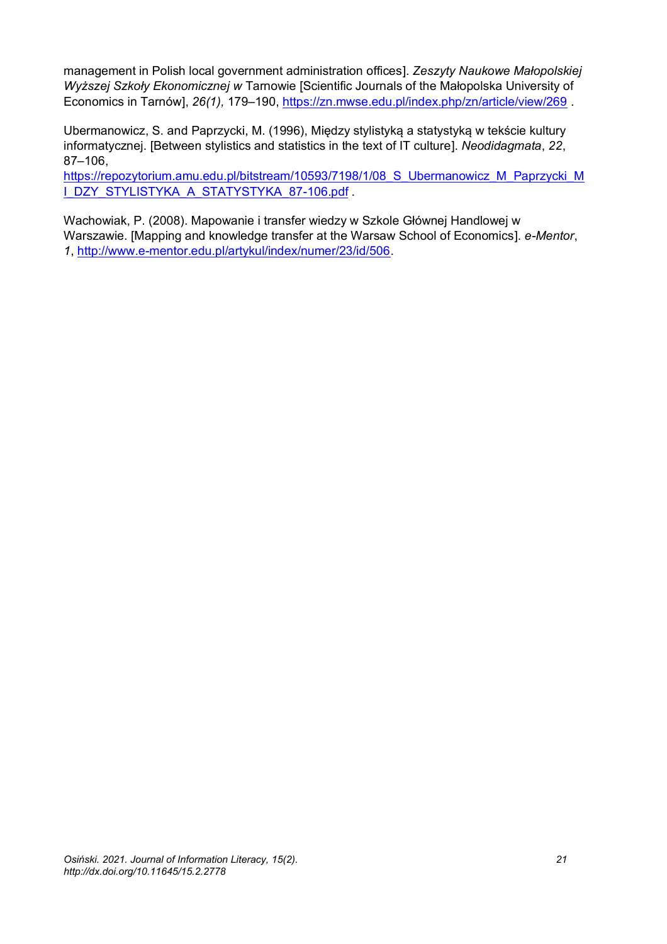management in Polish local government administration offices]. *Zeszyty Naukowe Małopolskiej Wyższej Szkoły Ekonomicznej w* Tarnowie [Scientific Journals of the Małopolska University of Economics in Tarnów], *26(1),* 179–190,<https://zn.mwse.edu.pl/index.php/zn/article/view/269> .

Ubermanowicz, S. and Paprzycki, M. (1996), Między stylistyką a statystyką w tekście kultury informatycznej. [Between stylistics and statistics in the text of IT culture]. *Neodidagmata*, *22*, 87–106,

[https://repozytorium.amu.edu.pl/bitstream/10593/7198/1/08\\_S\\_Ubermanowicz\\_M\\_Paprzycki\\_M](https://repozytorium.amu.edu.pl/bitstream/10593/7198/1/08_S_Ubermanowicz_M_Paprzycki_MI_DZY_STYLISTYKA_A_STATYSTYKA_87-106.pdf) [I\\_DZY\\_STYLISTYKA\\_A\\_STATYSTYKA\\_87-106.pdf](https://repozytorium.amu.edu.pl/bitstream/10593/7198/1/08_S_Ubermanowicz_M_Paprzycki_MI_DZY_STYLISTYKA_A_STATYSTYKA_87-106.pdf)

Wachowiak, P. (2008). Mapowanie i transfer wiedzy w Szkole Głównej Handlowej w Warszawie. [Mapping and knowledge transfer at the Warsaw School of Economics]. *e-Mentor*, *1*, [http://www.e-mentor.edu.pl/artykul/index/numer/23/id/506.](http://www.e-mentor.edu.pl/artykul/index/numer/23/id/506)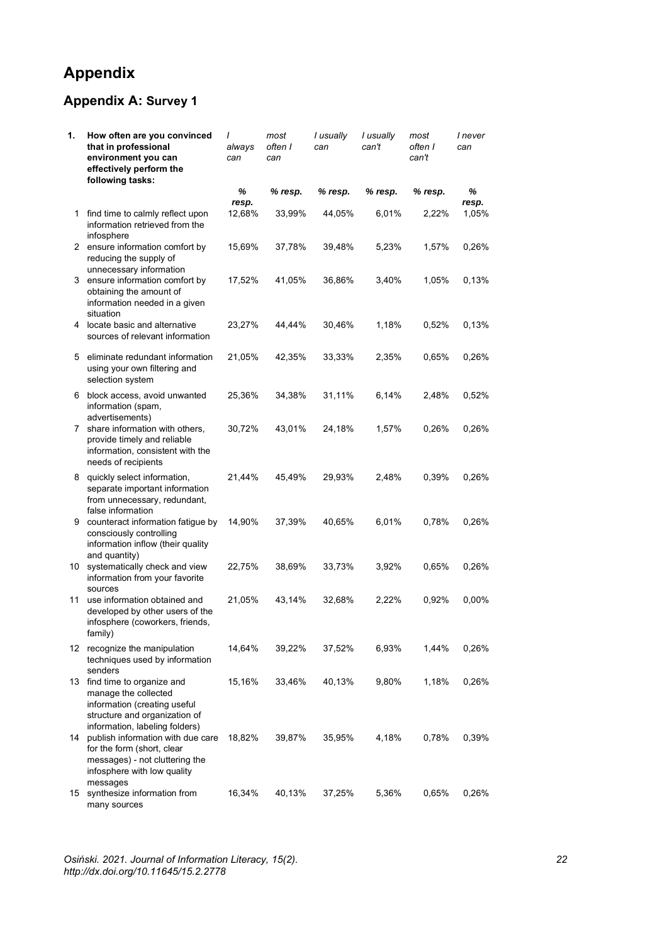# **Appendix**

# **Appendix A: Survey 1**

| 1.           | How often are you convinced<br>that in professional<br>environment you can<br>effectively perform the<br>following tasks:                               | $\prime$<br>always<br>can | most<br>often I<br>can | I usually<br>can | I usually<br>can't | most<br>often I<br>can't | I never<br>can |
|--------------|---------------------------------------------------------------------------------------------------------------------------------------------------------|---------------------------|------------------------|------------------|--------------------|--------------------------|----------------|
|              |                                                                                                                                                         | %                         | % resp.                | % resp.          | % resp.            | % resp.                  | ℅              |
| $\mathbf{1}$ | find time to calmly reflect upon<br>information retrieved from the<br>infosphere                                                                        | resp.<br>12,68%           | 33,99%                 | 44,05%           | 6,01%              | 2,22%                    | resp.<br>1,05% |
|              | 2 ensure information comfort by<br>reducing the supply of<br>unnecessary information                                                                    | 15,69%                    | 37,78%                 | 39,48%           | 5,23%              | 1,57%                    | 0,26%          |
|              | 3 ensure information comfort by<br>obtaining the amount of<br>information needed in a given<br>situation                                                | 17,52%                    | 41,05%                 | 36,86%           | 3,40%              | 1,05%                    | 0,13%          |
|              | 4 locate basic and alternative<br>sources of relevant information                                                                                       | 23,27%                    | 44,44%                 | 30,46%           | 1,18%              | 0,52%                    | 0,13%          |
| 5.           | eliminate redundant information<br>using your own filtering and<br>selection system                                                                     | 21,05%                    | 42,35%                 | 33,33%           | 2,35%              | 0,65%                    | 0,26%          |
| 6            | block access, avoid unwanted<br>information (spam,<br>advertisements)                                                                                   | 25,36%                    | 34,38%                 | 31,11%           | 6,14%              | 2,48%                    | 0,52%          |
|              | 7 share information with others,<br>provide timely and reliable<br>information, consistent with the<br>needs of recipients                              | 30,72%                    | 43,01%                 | 24,18%           | 1,57%              | 0,26%                    | 0,26%          |
|              | 8 quickly select information,<br>separate important information<br>from unnecessary, redundant,<br>false information                                    | 21,44%                    | 45,49%                 | 29,93%           | 2,48%              | 0,39%                    | 0,26%          |
| 9            | counteract information fatigue by<br>consciously controlling<br>information inflow (their quality<br>and quantity)                                      | 14,90%                    | 37,39%                 | 40,65%           | 6,01%              | 0,78%                    | 0,26%          |
|              | 10 systematically check and view<br>information from your favorite<br>sources                                                                           | 22,75%                    | 38,69%                 | 33,73%           | 3,92%              | 0,65%                    | 0,26%          |
| 11           | use information obtained and<br>developed by other users of the<br>infosphere (coworkers, friends,<br>family)                                           | 21,05%                    | 43,14%                 | 32,68%           | 2,22%              | 0,92%                    | 0,00%          |
|              | 12 recognize the manipulation<br>techniques used by information<br>senders                                                                              | 14,64%                    | 39,22%                 | 37,52%           | 6,93%              | 1,44%                    | 0,26%          |
|              | 13 find time to organize and<br>manage the collected<br>information (creating useful<br>structure and organization of<br>information, labeling folders) | 15,16%                    | 33,46%                 | 40,13%           | 9,80%              | 1,18%                    | 0,26%          |
| 14           | publish information with due care<br>for the form (short, clear<br>messages) - not cluttering the<br>infosphere with low quality<br>messages            | 18,82%                    | 39,87%                 | 35,95%           | 4,18%              | 0,78%                    | 0,39%          |
|              | 15 synthesize information from<br>many sources                                                                                                          | 16,34%                    | 40,13%                 | 37,25%           | 5,36%              | 0,65%                    | 0,26%          |

*Osiński. 2021. Journal of Information Literacy, 15(2). 22 http://dx.doi.org/10.11645/15.2.2778*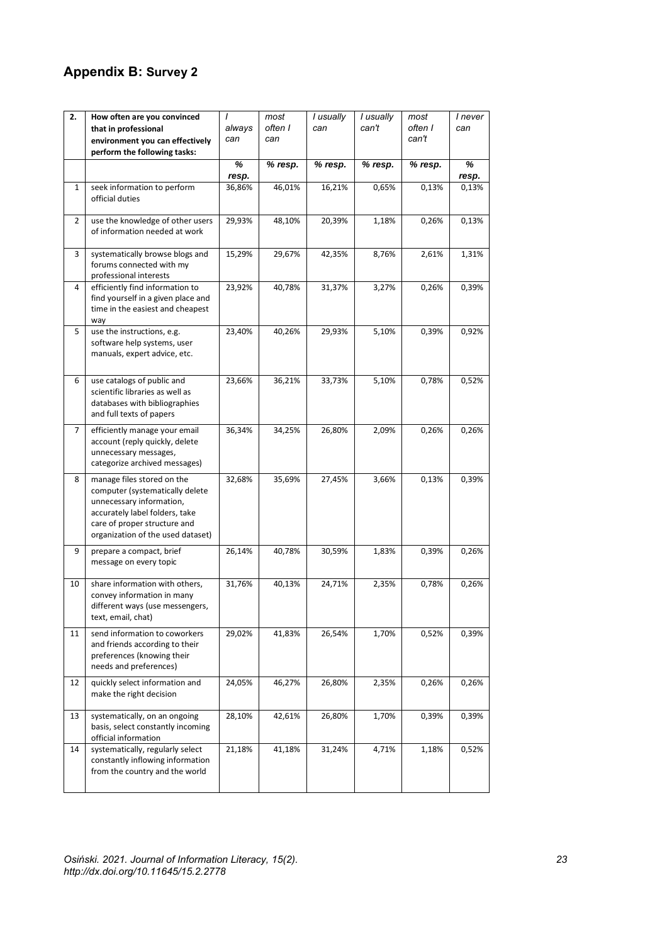### **Appendix B: Survey 2**

| 2.             | How often are you convinced<br>that in professional<br>environment you can effectively<br>perform the following tasks:                                                                           | I<br>always<br>can | most<br>often I<br>can | I usually<br>can | I usually<br>can't | most<br>often I<br>can't | I never<br>can |
|----------------|--------------------------------------------------------------------------------------------------------------------------------------------------------------------------------------------------|--------------------|------------------------|------------------|--------------------|--------------------------|----------------|
|                |                                                                                                                                                                                                  | %<br>resp.         | % resp.                | % resp.          | % resp.            | % resp.                  | %<br>resp.     |
| $\mathbf 1$    | seek information to perform<br>official duties                                                                                                                                                   | 36,86%             | 46,01%                 | 16,21%           | 0,65%              | 0,13%                    | 0,13%          |
| $\overline{2}$ | use the knowledge of other users<br>of information needed at work                                                                                                                                | 29,93%             | 48,10%                 | 20,39%           | 1,18%              | 0,26%                    | 0,13%          |
| 3              | systematically browse blogs and<br>forums connected with my<br>professional interests                                                                                                            | 15,29%             | 29,67%                 | 42,35%           | 8,76%              | 2,61%                    | 1,31%          |
| 4              | efficiently find information to<br>find yourself in a given place and<br>time in the easiest and cheapest<br>way                                                                                 | 23,92%             | 40,78%                 | 31,37%           | 3,27%              | 0,26%                    | 0,39%          |
| 5              | use the instructions, e.g.<br>software help systems, user<br>manuals, expert advice, etc.                                                                                                        | 23,40%             | 40,26%                 | 29,93%           | 5,10%              | 0,39%                    | 0,92%          |
| 6              | use catalogs of public and<br>scientific libraries as well as<br>databases with bibliographies<br>and full texts of papers                                                                       | 23,66%             | 36,21%                 | 33,73%           | 5,10%              | 0,78%                    | 0,52%          |
| 7              | efficiently manage your email<br>account (reply quickly, delete<br>unnecessary messages,<br>categorize archived messages)                                                                        | 36,34%             | 34,25%                 | 26,80%           | 2,09%              | 0,26%                    | 0,26%          |
| 8              | manage files stored on the<br>computer (systematically delete<br>unnecessary information,<br>accurately label folders, take<br>care of proper structure and<br>organization of the used dataset) | 32,68%             | 35,69%                 | 27,45%           | 3,66%              | 0,13%                    | 0,39%          |
| 9              | prepare a compact, brief<br>message on every topic                                                                                                                                               | 26,14%             | 40,78%                 | 30,59%           | 1,83%              | 0,39%                    | 0,26%          |
| 10             | share information with others,<br>convey information in many<br>different ways (use messengers,<br>text, email, chat)                                                                            | 31,76%             | 40,13%                 | 24,71%           | 2,35%              | 0,78%                    | 0,26%          |
| 11             | send information to coworkers<br>and friends according to their<br>preferences (knowing their<br>needs and preferences)                                                                          | 29,02%             | 41,83%                 | 26,54%           | 1,70%              | 0,52%                    | 0,39%          |
| 12             | quickly select information and<br>make the right decision                                                                                                                                        | 24,05%             | 46,27%                 | 26,80%           | 2,35%              | 0,26%                    | 0,26%          |
| 13             | systematically, on an ongoing<br>basis, select constantly incoming<br>official information                                                                                                       | 28,10%             | 42,61%                 | 26,80%           | 1,70%              | 0,39%                    | 0,39%          |
| 14             | systematically, regularly select<br>constantly inflowing information<br>from the country and the world                                                                                           | 21,18%             | 41,18%                 | 31,24%           | 4,71%              | 1,18%                    | 0,52%          |

*Osiński. 2021. Journal of Information Literacy, 15(2). 23 http://dx.doi.org/10.11645/15.2.2778*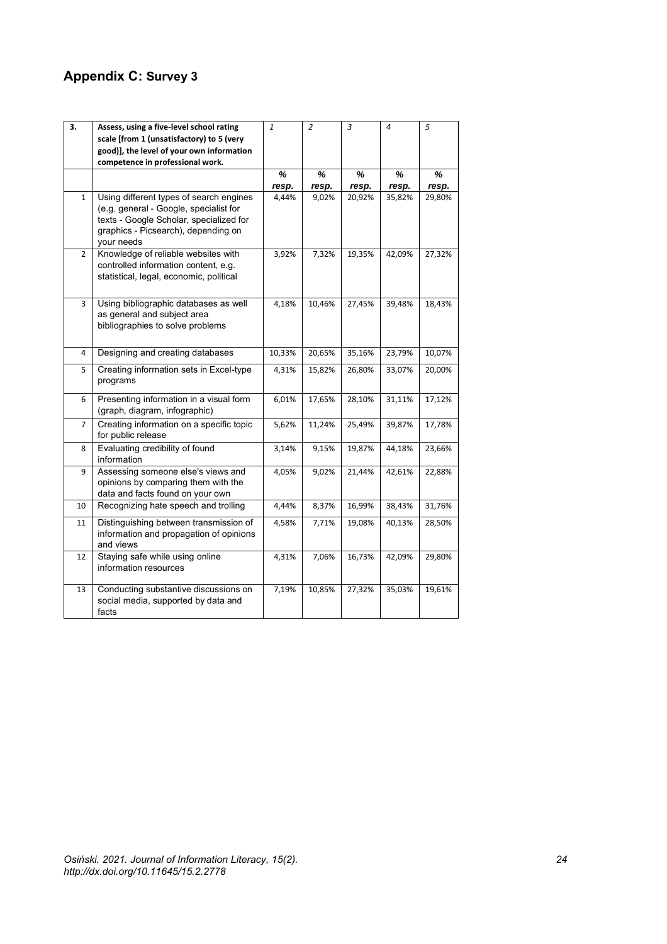# **Appendix C: Survey 3**

| 3.             | Assess, using a five-level school rating<br>scale [from 1 (unsatisfactory) to 5 (very<br>good)], the level of your own information<br>competence in professional work.            | $\mathbf{1}$ | $\overline{2}$ | 3      | $\overline{a}$ | 5      |
|----------------|-----------------------------------------------------------------------------------------------------------------------------------------------------------------------------------|--------------|----------------|--------|----------------|--------|
|                |                                                                                                                                                                                   | ℅            | %              | %      | %              | %      |
|                |                                                                                                                                                                                   | resp.        | resp.          | resp.  | resp.          | resp.  |
| $\mathbf{1}$   | Using different types of search engines<br>(e.g. general - Google, specialist for<br>texts - Google Scholar, specialized for<br>graphics - Picsearch), depending on<br>your needs | 4,44%        | 9,02%          | 20,92% | 35,82%         | 29,80% |
| $\overline{2}$ | Knowledge of reliable websites with<br>controlled information content, e.g.<br>statistical, legal, economic, political                                                            | 3,92%        | 7,32%          | 19,35% | 42,09%         | 27,32% |
| 3              | Using bibliographic databases as well<br>as general and subject area<br>bibliographies to solve problems                                                                          | 4,18%        | 10,46%         | 27,45% | 39,48%         | 18,43% |
| 4              | Designing and creating databases                                                                                                                                                  | 10,33%       | 20,65%         | 35,16% | 23,79%         | 10,07% |
| 5              | Creating information sets in Excel-type<br>programs                                                                                                                               | 4,31%        | 15,82%         | 26,80% | 33,07%         | 20,00% |
| 6              | Presenting information in a visual form<br>(graph, diagram, infographic)                                                                                                          | 6,01%        | 17,65%         | 28,10% | 31,11%         | 17,12% |
| 7              | Creating information on a specific topic<br>for public release                                                                                                                    | 5,62%        | 11,24%         | 25,49% | 39,87%         | 17,78% |
| 8              | Evaluating credibility of found<br>information                                                                                                                                    | 3,14%        | 9,15%          | 19,87% | 44,18%         | 23,66% |
| 9              | Assessing someone else's views and<br>opinions by comparing them with the<br>data and facts found on your own                                                                     | 4,05%        | 9,02%          | 21,44% | 42,61%         | 22,88% |
| 10             | Recognizing hate speech and trolling                                                                                                                                              | 4,44%        | 8,37%          | 16,99% | 38,43%         | 31,76% |
| 11             | Distinguishing between transmission of<br>information and propagation of opinions<br>and views                                                                                    | 4,58%        | 7,71%          | 19,08% | 40,13%         | 28,50% |
| 12             | Staying safe while using online<br>information resources                                                                                                                          | 4,31%        | 7,06%          | 16,73% | 42,09%         | 29,80% |
| 13             | Conducting substantive discussions on<br>social media, supported by data and<br>facts                                                                                             | 7,19%        | 10,85%         | 27,32% | 35,03%         | 19,61% |

*Osiński. 2021. Journal of Information Literacy, 15(2). 24 http://dx.doi.org/10.11645/15.2.2778*